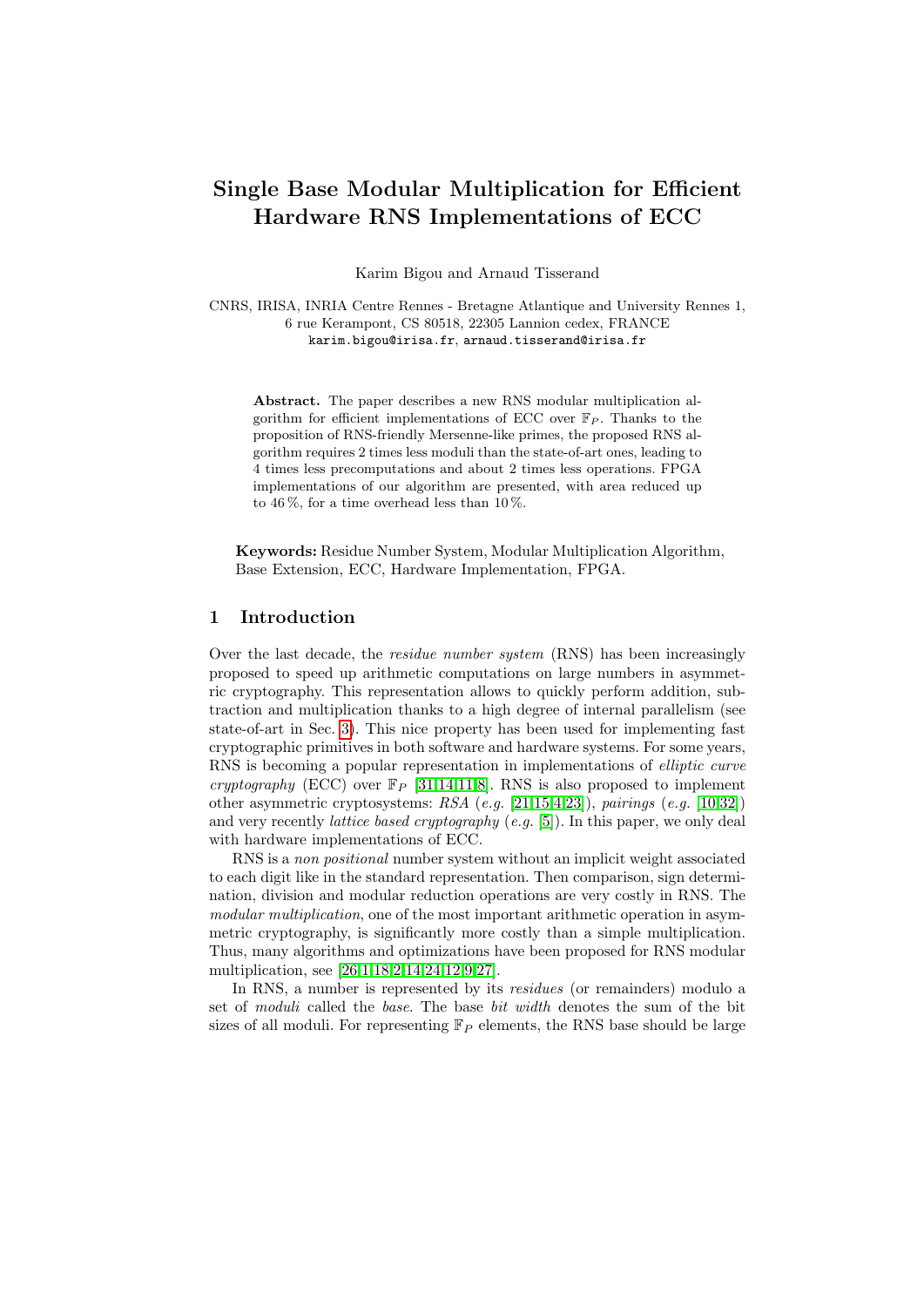# Single Base Modular Multiplication for Efficient Hardware RNS Implementations of ECC

Karim Bigou and Arnaud Tisserand

CNRS, IRISA, INRIA Centre Rennes - Bretagne Atlantique and University Rennes 1, 6 rue Kerampont, CS 80518, 22305 Lannion cedex, FRANCE karim.bigou@irisa.fr, arnaud.tisserand@irisa.fr

Abstract. The paper describes a new RNS modular multiplication algorithm for efficient implementations of ECC over  $\mathbb{F}_P$ . Thanks to the proposition of RNS-friendly Mersenne-like primes, the proposed RNS algorithm requires 2 times less moduli than the state-of-art ones, leading to 4 times less precomputations and about 2 times less operations. FPGA implementations of our algorithm are presented, with area reduced up to  $46\%$ , for a time overhead less than  $10\%$ .

Keywords: Residue Number System, Modular Multiplication Algorithm, Base Extension, ECC, Hardware Implementation, FPGA.

## 1 Introduction

Over the last decade, the residue number system (RNS) has been increasingly proposed to speed up arithmetic computations on large numbers in asymmetric cryptography. This representation allows to quickly perform addition, subtraction and multiplication thanks to a high degree of internal parallelism (see state-of-art in Sec. [3\)](#page-2-0). This nice property has been used for implementing fast cryptographic primitives in both software and hardware systems. For some years, RNS is becoming a popular representation in implementations of elliptic curve cryptography (ECC) over  $\mathbb{F}_P$  [\[31](#page-17-0)[,14](#page-16-0)[,11,](#page-16-1)[8\]](#page-16-2). RNS is also proposed to implement other asymmetric cryptosystems:  $RSA$  (e.g. [\[21](#page-17-1)[,15,](#page-17-2)[4,](#page-16-3)[23\]](#page-17-3)), pairings (e.g. [\[10](#page-16-4)[,32\]](#page-17-4)) and very recently *lattice based cryptography* (e.g. [\[5\]](#page-16-5)). In this paper, we only deal with hardware implementations of ECC.

RNS is a non positional number system without an implicit weight associated to each digit like in the standard representation. Then comparison, sign determination, division and modular reduction operations are very costly in RNS. The modular multiplication, one of the most important arithmetic operation in asymmetric cryptography, is significantly more costly than a simple multiplication. Thus, many algorithms and optimizations have been proposed for RNS modular multiplication, see [\[26](#page-17-5)[,1,](#page-16-6)[18,](#page-17-6)[2,](#page-16-7)[14,](#page-16-0)[24,](#page-17-7)[12,](#page-16-8)[9](#page-16-9)[,27\]](#page-17-8).

In RNS, a number is represented by its residues (or remainders) modulo a set of moduli called the base. The base bit width denotes the sum of the bit sizes of all moduli. For representing  $\mathbb{F}_P$  elements, the RNS base should be large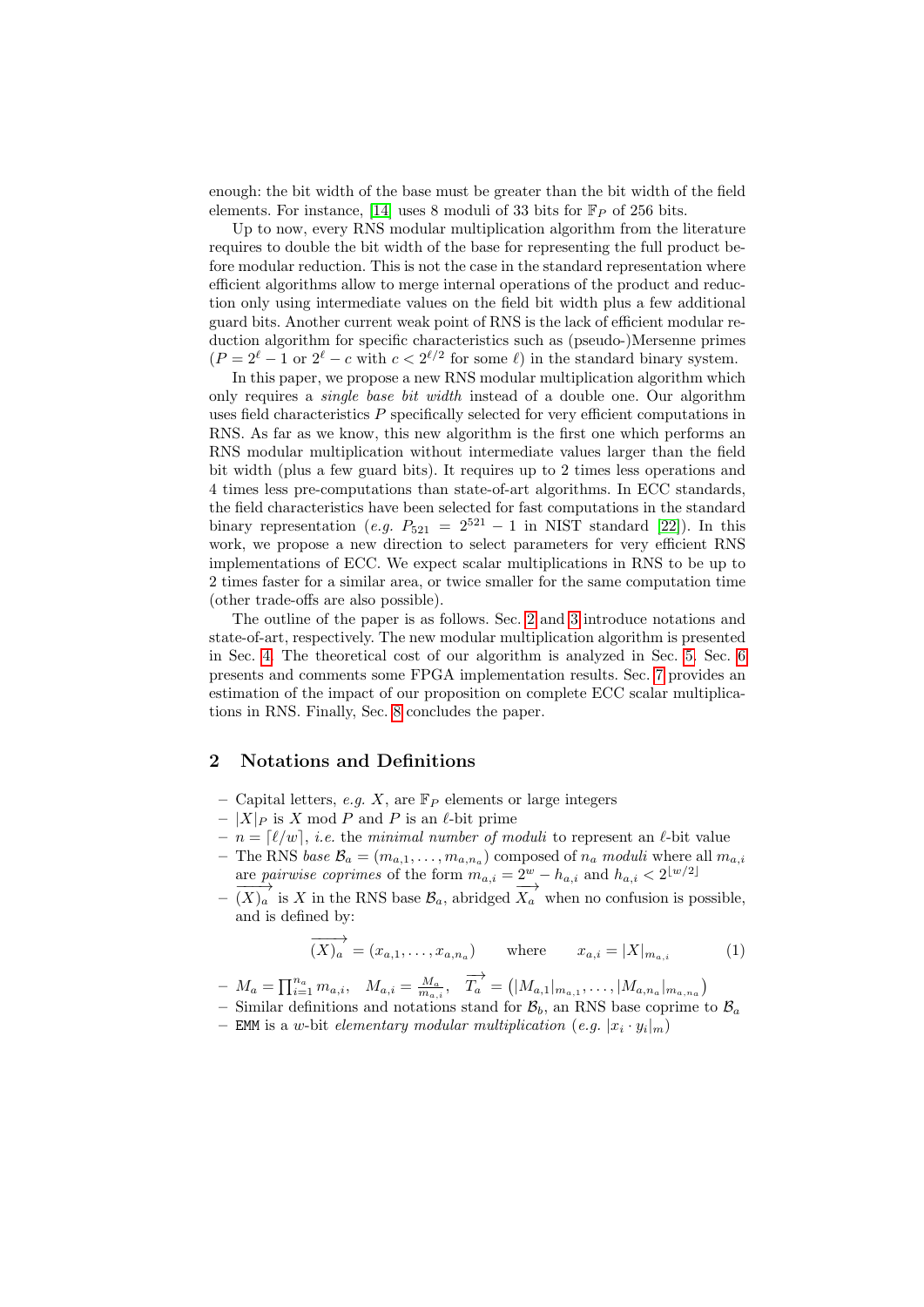enough: the bit width of the base must be greater than the bit width of the field elements. For instance, [\[14\]](#page-16-0) uses 8 moduli of 33 bits for  $\mathbb{F}_P$  of 256 bits.

Up to now, every RNS modular multiplication algorithm from the literature requires to double the bit width of the base for representing the full product before modular reduction. This is not the case in the standard representation where efficient algorithms allow to merge internal operations of the product and reduction only using intermediate values on the field bit width plus a few additional guard bits. Another current weak point of RNS is the lack of efficient modular reduction algorithm for specific characteristics such as (pseudo-)Mersenne primes  $(P = 2^{\ell} - 1 \text{ or } 2^{\ell} - c \text{ with } c < 2^{\ell/2} \text{ for some } \ell)$  in the standard binary system.

In this paper, we propose a new RNS modular multiplication algorithm which only requires a single base bit width instead of a double one. Our algorithm uses field characteristics  $P$  specifically selected for very efficient computations in RNS. As far as we know, this new algorithm is the first one which performs an RNS modular multiplication without intermediate values larger than the field bit width (plus a few guard bits). It requires up to 2 times less operations and 4 times less pre-computations than state-of-art algorithms. In ECC standards, the field characteristics have been selected for fast computations in the standard binary representation (e.g.  $P_{521} = 2^{521} - 1$  in NIST standard [\[22\]](#page-17-9)). In this work, we propose a new direction to select parameters for very efficient RNS implementations of ECC. We expect scalar multiplications in RNS to be up to 2 times faster for a similar area, or twice smaller for the same computation time (other trade-offs are also possible).

The outline of the paper is as follows. Sec. [2](#page-1-0) and [3](#page-2-0) introduce notations and state-of-art, respectively. The new modular multiplication algorithm is presented in Sec. [4.](#page-4-0) The theoretical cost of our algorithm is analyzed in Sec. [5.](#page-9-0) Sec. [6](#page-10-0) presents and comments some FPGA implementation results. Sec. [7](#page-13-0) provides an estimation of the impact of our proposition on complete ECC scalar multiplications in RNS. Finally, Sec. [8](#page-14-0) concludes the paper.

## <span id="page-1-0"></span>2 Notations and Definitions

- Capital letters, e.g. X, are  $\mathbb{F}_P$  elements or large integers
- $|X|_P$  is X mod P and P is an  $\ell$ -bit prime
- $n = [\ell/w], i.e.$  the minimal number of moduli to represent an  $\ell$ -bit value
- The RNS base  $B_a = (m_{a,1}, \ldots, m_{a,n_a})$  composed of  $n_a$  moduli where all  $m_{a,i}$ are pairwise coprimes of the form  $m_{a,i} = 2^w - h_{a,i}$  and  $h_{a,i} < 2^{\lfloor w/2 \rfloor}$
- $-\overrightarrow{(X)_a}$  is X in the RNS base  $\mathcal{B}_a$ , abridged  $\overrightarrow{X_a}$  when no confusion is possible, and is defined by:

$$
\overrightarrow{(X)_a} = (x_{a,1}, \dots, x_{a,n_a}) \quad \text{where} \quad x_{a,i} = |X|_{m_{a,i}} \quad (1)
$$

- $-M_a = \prod_{i=1}^{n_a} m_{a,i}, \quad M_{a,i} = \frac{M_a}{m_{a,i}}, \quad \overrightarrow{T_a} = (|M_{a,1}|_{m_{a,1}}, \ldots, |M_{a,n_a}|_{m_{a,n_a}})$
- Similar definitions and notations stand for  $\mathcal{B}_b$ , an RNS base coprime to  $\mathcal{B}_a$
- EMM is a w-bit elementary modular multiplication (e.g.  $|x_i \cdot y_i|_m$ )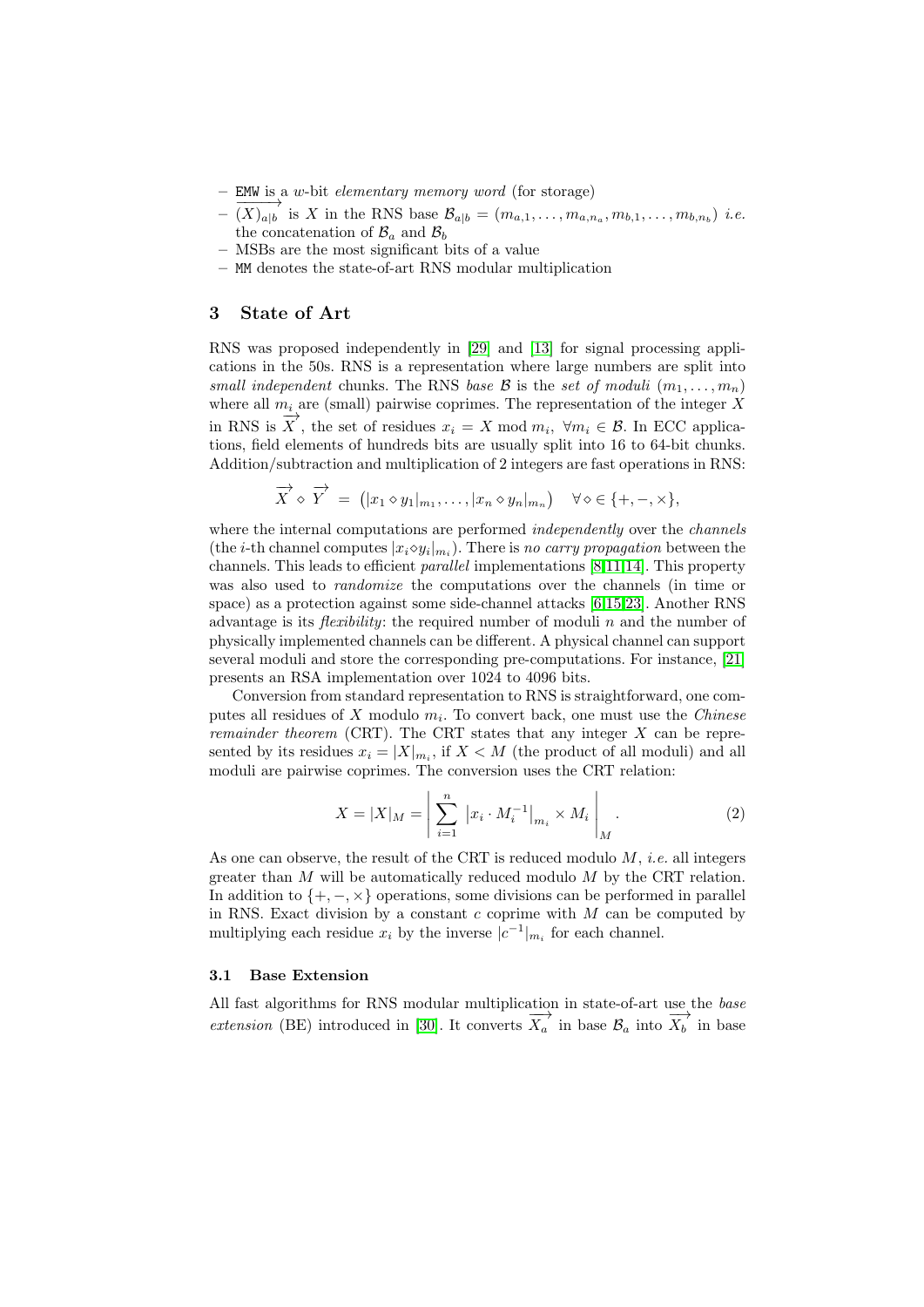- EMW is a w-bit elementary memory word (for storage)
- $-\overrightarrow{(X)}_{a|b}$  is X in the RNS base  $\mathcal{B}_{a|b} = (m_{a,1}, \ldots, m_{a,n_a}, m_{b,1}, \ldots, m_{b,n_b})$  *i.e.* the concatenation of  $\mathcal{B}_a$  and  $\mathcal{B}_b$
- MSBs are the most significant bits of a value
- MM denotes the state-of-art RNS modular multiplication

### <span id="page-2-0"></span>3 State of Art

RNS was proposed independently in [\[29\]](#page-17-10) and [\[13\]](#page-16-10) for signal processing applications in the 50s. RNS is a representation where large numbers are split into small independent chunks. The RNS base B is the set of moduli  $(m_1, \ldots, m_n)$ where all  $m_i$  are (small) pairwise coprimes. The representation of the integer X in RNS is  $\overrightarrow{X}$ , the set of residues  $x_i = X \mod m_i$ ,  $\forall m_i \in \mathcal{B}$ . In ECC applications, field elements of hundreds bits are usually split into 16 to 64-bit chunks. Addition/subtraction and multiplication of 2 integers are fast operations in RNS:

$$
\overrightarrow{X} \diamond \overrightarrow{Y} = (|x_1 \diamond y_1|_{m_1}, \dots, |x_n \diamond y_n|_{m_n}) \quad \forall \diamond \in \{+, -, \times\},
$$

where the internal computations are performed *independently* over the *channels* (the *i*-th channel computes  $|x_i \diamond y_i|_{m_i}$ ). There is no carry propagation between the channels. This leads to efficient parallel implementations [\[8,](#page-16-2)[11](#page-16-1)[,14\]](#page-16-0). This property was also used to randomize the computations over the channels (in time or space) as a protection against some side-channel attacks [\[6,](#page-16-11)[15](#page-17-2)[,23\]](#page-17-3). Another RNS advantage is its *flexibility*: the required number of moduli n and the number of physically implemented channels can be different. A physical channel can support several moduli and store the corresponding pre-computations. For instance, [\[21\]](#page-17-1) presents an RSA implementation over 1024 to 4096 bits.

Conversion from standard representation to RNS is straightforward, one computes all residues of X modulo  $m_i$ . To convert back, one must use the *Chinese remainder theorem* (CRT). The CRT states that any integer  $X$  can be represented by its residues  $x_i = |X|_{m_i}$ , if  $X < M$  (the product of all moduli) and all moduli are pairwise coprimes. The conversion uses the CRT relation:

<span id="page-2-1"></span>
$$
X = |X|_{M} = \left| \sum_{i=1}^{n} |x_i \cdot M_i^{-1}|_{m_i} \times M_i \right|_{M}.
$$
 (2)

As one can observe, the result of the CRT is reduced modulo  $M$ , *i.e.* all integers greater than  $M$  will be automatically reduced modulo  $M$  by the CRT relation. In addition to  $\{+, -, \times\}$  operations, some divisions can be performed in parallel in RNS. Exact division by a constant  $c$  coprime with  $M$  can be computed by multiplying each residue  $x_i$  by the inverse  $|c^{-1}|_{m_i}$  for each channel.

### <span id="page-2-2"></span>3.1 Base Extension

All fast algorithms for RNS modular multiplication in state-of-art use the base extension (BE) introduced in [\[30\]](#page-17-11). It converts  $\overrightarrow{X_a}$  in base  $\mathcal{B}_a$  into  $\overrightarrow{X_b}$  in base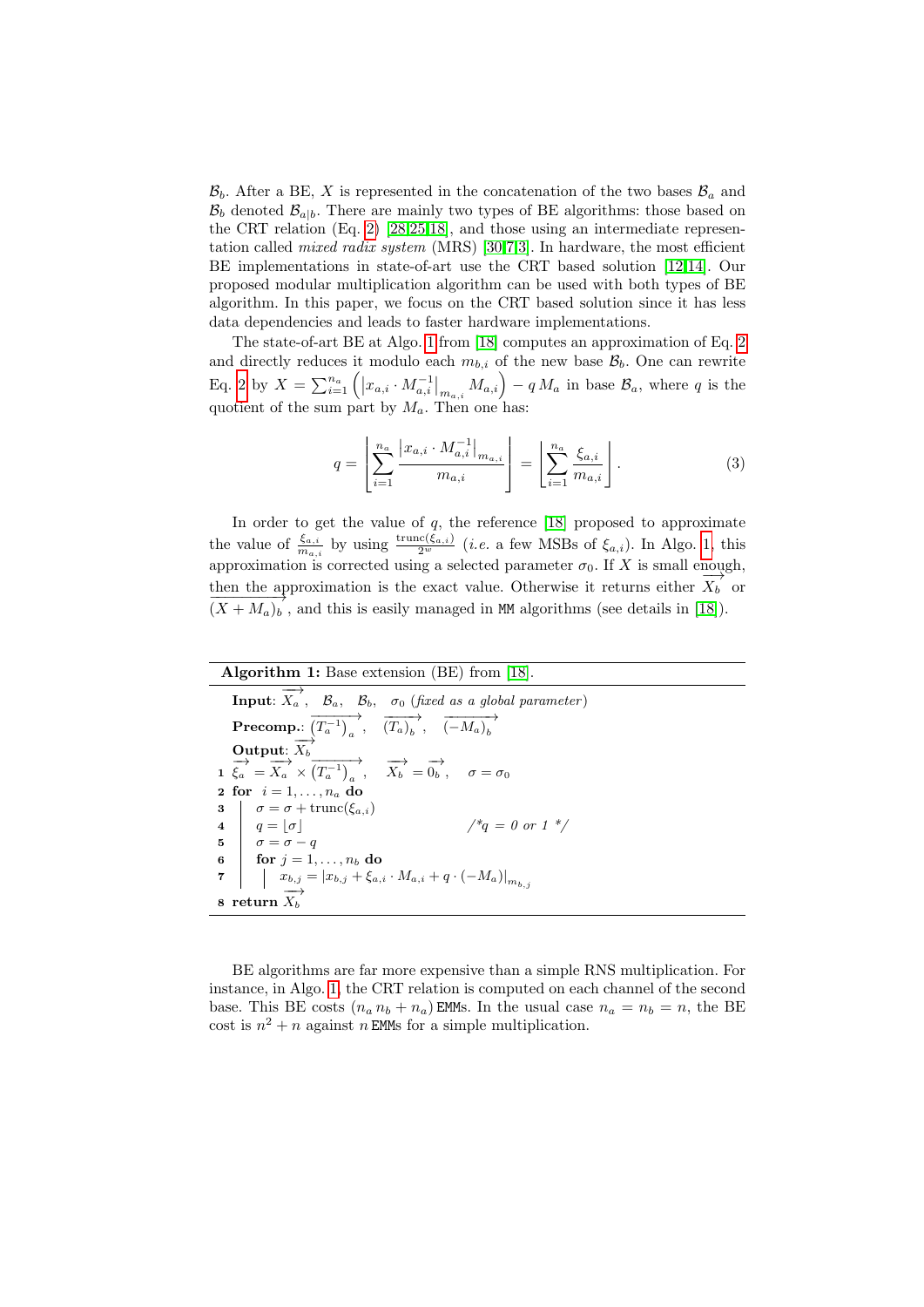$\mathcal{B}_b$ . After a BE, X is represented in the concatenation of the two bases  $\mathcal{B}_a$  and  $\mathcal{B}_b$  denoted  $\mathcal{B}_{a|b}$ . There are mainly two types of BE algorithms: those based on the CRT relation (Eq. [2\)](#page-2-1) [\[28](#page-17-12)[,25,](#page-17-13)[18\]](#page-17-6), and those using an intermediate representation called *mixed radix system* (MRS) [\[30,](#page-17-11)[7](#page-16-12)[,3\]](#page-16-13). In hardware, the most efficient BE implementations in state-of-art use the CRT based solution [\[12,](#page-16-8)[14\]](#page-16-0). Our proposed modular multiplication algorithm can be used with both types of BE algorithm. In this paper, we focus on the CRT based solution since it has less data dependencies and leads to faster hardware implementations.

The state-of-art BE at Algo. [1](#page-3-0) from [\[18\]](#page-17-6) computes an approximation of Eq. [2](#page-2-1) and directly reduces it modulo each  $m_{b,i}$  of the new base  $\mathcal{B}_b$ . One can rewrite Eq. [2](#page-2-1) by  $X = \sum_{i=1}^{n_a} (x_{a,i} \cdot M_{a,i}^{-1}|_{m_{a,i}} M_{a,i}) - q M_a$  in base  $\mathcal{B}_a$ , where q is the quotient of the sum part by  $M_a$ . Then one has:

$$
q = \left[ \sum_{i=1}^{n_a} \frac{|x_{a,i} \cdot M_{a,i}^{-1}|_{m_{a,i}}}{m_{a,i}} \right] = \left[ \sum_{i=1}^{n_a} \frac{\xi_{a,i}}{m_{a,i}} \right].
$$
 (3)

In order to get the value of  $q$ , the reference [\[18\]](#page-17-6) proposed to approximate the value of  $\frac{\xi_{a,i}}{m_{a,i}}$  by using  $\frac{\text{trunc}(\xi_{a,i})}{2^w}$  (*i.e.* a few MSBs of  $\xi_{a,i}$ ). In Algo. [1,](#page-3-0) this approximation is corrected using a selected parameter  $\sigma_0$ . If X is small enough, then the approximation is the exact value. Otherwise it returns either  $X_b$  or  $(X + M_a)_b$ , and this is easily managed in MM algorithms (see details in [\[18\]](#page-17-6)).

Algorithm 1: Base extension (BE) from [\[18\]](#page-17-6). **Input:**  $\overrightarrow{X_a}$ ,  $\overrightarrow{B_a}$ ,  $\overrightarrow{B_b}$ ,  $\sigma_0$  (fixed as a global parameter)  $\textbf{Precomp.:}$   $\overrightarrow{(T_a^{-1})_a}$ ,  $\overrightarrow{(T_a)_b}$ ,  $\overrightarrow{(-M_a)_b}$ Output:  $\overrightarrow{X_b}$ 1  $\xrightarrow{\leftrightarrow}$   $\overrightarrow{X_a} \times \overrightarrow{(T_a^{-1})}_a$ ,  $\overrightarrow{X_b} = \overrightarrow{0_b}$ ,  $\sigma = \sigma_0$ 2 for  $i = 1, \ldots, n_a$  do 3  $\sigma = \sigma + \text{trunc}(\xi_{a,i})$ 4  $q = |\sigma|$  /\*q = 0 or 1 \*/ 5  $\sigma = \sigma - q$ 6 for  $j = 1, \ldots, n_b$  do 7  $x_{b,j} = |x_{b,j} + \xi_{a,i} \cdot M_{a,i} + q \cdot (-M_a)|_{m_{b,j}}$  $8$  return  $X_b$ 

<span id="page-3-0"></span>BE algorithms are far more expensive than a simple RNS multiplication. For instance, in Algo. [1,](#page-3-0) the CRT relation is computed on each channel of the second base. This BE costs  $(n_a n_b + n_a)$  EMMs. In the usual case  $n_a = n_b = n$ , the BE cost is  $n^2 + n$  against n EMMs for a simple multiplication.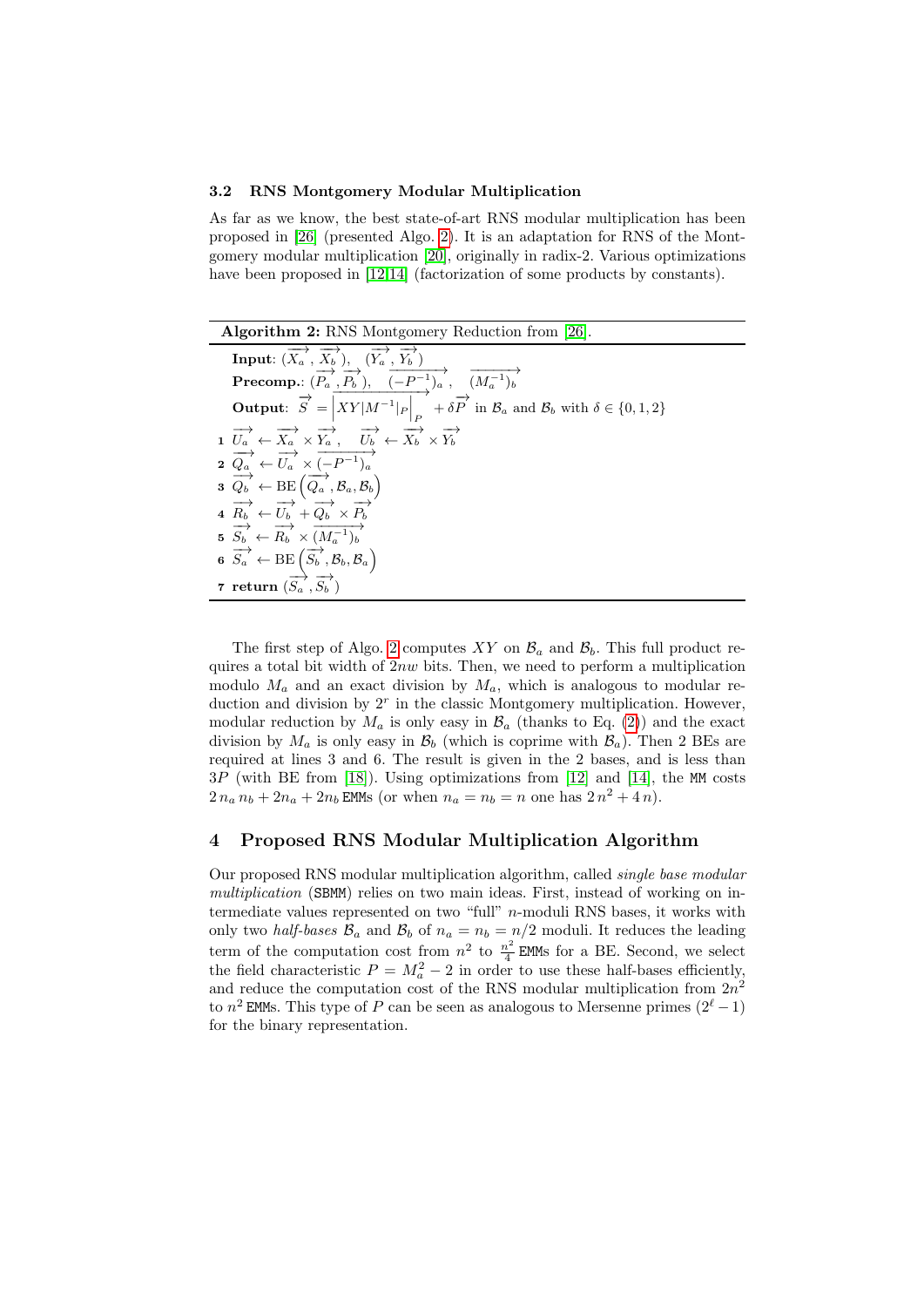### 3.2 RNS Montgomery Modular Multiplication

As far as we know, the best state-of-art RNS modular multiplication has been proposed in [\[26\]](#page-17-5) (presented Algo. [2\)](#page-4-1). It is an adaptation for RNS of the Montgomery modular multiplication [\[20\]](#page-17-14), originally in radix-2. Various optimizations have been proposed in [\[12,](#page-16-8)[14\]](#page-16-0) (factorization of some products by constants).

| <b>Algorithm 2:</b> RNS Montgomery Reduction from [26].                                                                                                                   |
|---------------------------------------------------------------------------------------------------------------------------------------------------------------------------|
| <b>Input:</b> $(\overrightarrow{X_a}, \overrightarrow{X_b})$ , $(\overrightarrow{Y_a}, \overrightarrow{Y_b})$                                                             |
| <b>Precomp.</b> : $(\overrightarrow{P_a}, \overrightarrow{P_b})$ , $\overrightarrow{(-P^{-1})_a}$ , $\overrightarrow{(M_a^{-1})_b}$                                       |
| <b>Output:</b> $\overrightarrow{S} = \left  XY M^{-1} _P \right _P + \delta \overrightarrow{P}$ in $\mathcal{B}_a$ and $\mathcal{B}_b$ with $\delta \in \{0,1,2\}$        |
| 1 $\overrightarrow{U_a} \leftarrow \overrightarrow{X_a} \times \overrightarrow{Y_a}$ , $\overrightarrow{U_b} \leftarrow \overrightarrow{X_b} \times \overrightarrow{Y_b}$ |
| $\overrightarrow{Q_a} \leftarrow \overrightarrow{U_a} \times \overrightarrow{(-P^{-1})_a}$                                                                                |
| $\mathbf{3} \ \overrightarrow{Q_b} \leftarrow \mathrm{BE} \left( \overrightarrow{Q_a}, \mathcal{B}_a, \mathcal{B}_b \right)$                                              |
| $\overrightarrow{R_b} \leftarrow \overrightarrow{U_b} + \overrightarrow{Q_b} \times \overrightarrow{P_b}$                                                                 |
| $\overrightarrow{S_b} \leftarrow \overrightarrow{R_b} \times \overrightarrow{(M_a^{-1})_b}$                                                                               |
| 6 $\overrightarrow{S_a} \leftarrow \text{BE} \left( \overrightarrow{S_b}, \mathcal{B}_b, \mathcal{B}_a \right)$                                                           |
| 7 return $(\overrightarrow{S_a}, \overrightarrow{S_b})$                                                                                                                   |

<span id="page-4-1"></span>The first step of Algo. [2](#page-4-1) computes XY on  $\mathcal{B}_a$  and  $\mathcal{B}_b$ . This full product requires a total bit width of  $2nw$  bits. Then, we need to perform a multiplication modulo  $M_a$  and an exact division by  $M_a$ , which is analogous to modular reduction and division by  $2<sup>r</sup>$  in the classic Montgomery multiplication. However, modular reduction by  $M_a$  is only easy in  $\mathcal{B}_a$  (thanks to Eq. [\(2\)](#page-2-1)) and the exact division by  $M_a$  is only easy in  $\mathcal{B}_b$  (which is coprime with  $\mathcal{B}_a$ ). Then 2 BEs are required at lines 3 and 6. The result is given in the 2 bases, and is less than  $3P$  (with BE from [\[18\]](#page-17-6)). Using optimizations from [\[12\]](#page-16-8) and [\[14\]](#page-16-0), the MM costs  $2 n_a n_b + 2 n_a + 2 n_b$  EMMs (or when  $n_a = n_b = n$  one has  $2 n^2 + 4 n$ ).

# <span id="page-4-0"></span>4 Proposed RNS Modular Multiplication Algorithm

Our proposed RNS modular multiplication algorithm, called single base modular multiplication (SBMM) relies on two main ideas. First, instead of working on intermediate values represented on two "full" n-moduli RNS bases, it works with only two *half-bases*  $\mathcal{B}_a$  and  $\mathcal{B}_b$  of  $n_a = n_b = n/2$  moduli. It reduces the leading term of the computation cost from  $n^2$  to  $\frac{n^2}{4}$  $\frac{1}{4}$  EMMs for a BE. Second, we select the field characteristic  $P = M_a^2 - 2$  in order to use these half-bases efficiently, and reduce the computation cost of the RNS modular multiplication from  $2n^2$ to  $n^2$  EMMs. This type of P can be seen as analogous to Mersenne primes  $(2^{\ell}-1)$ for the binary representation.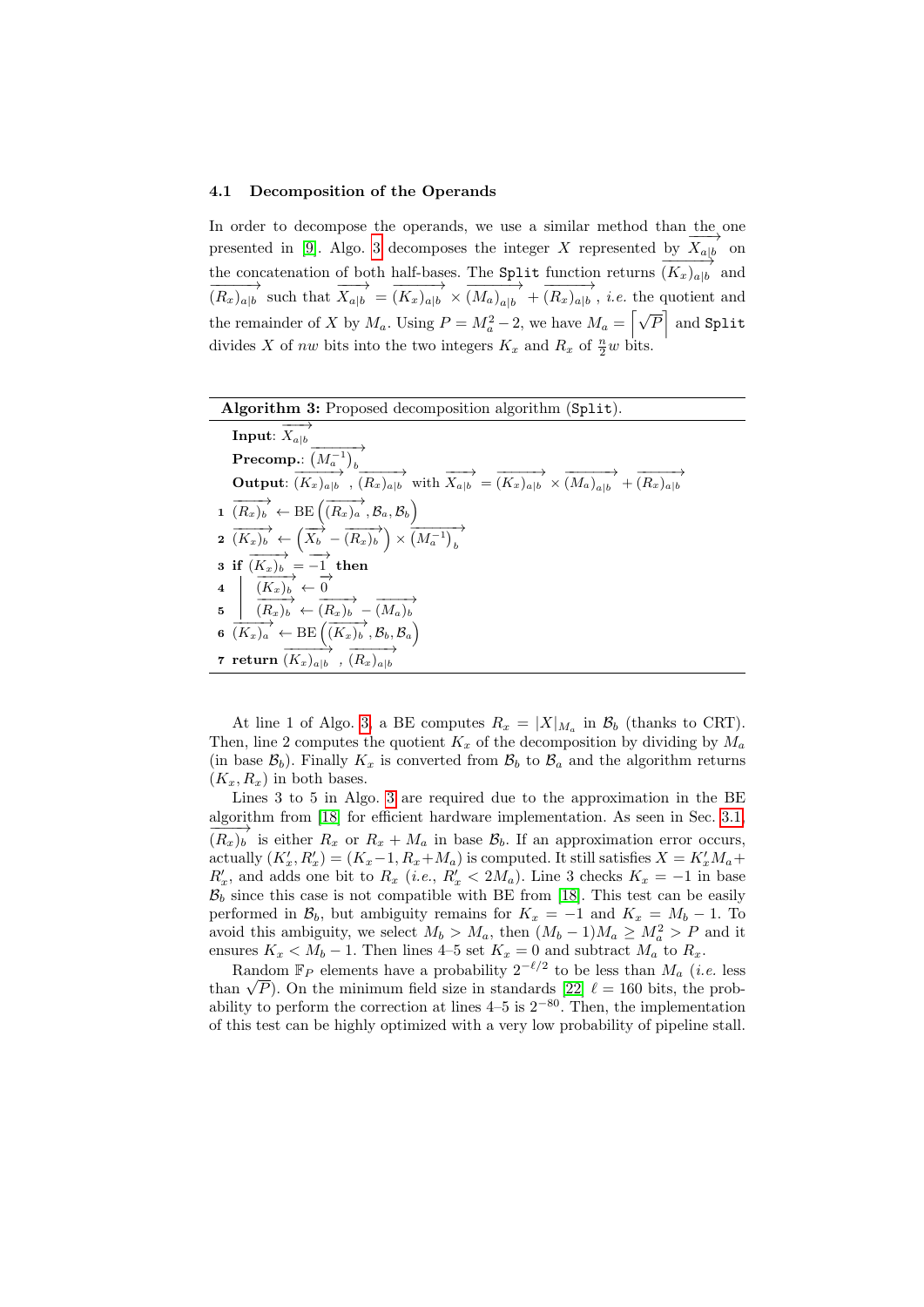### 4.1 Decomposition of the Operands

In order to decompose the operands, we use a similar method than the one presented in [\[9\]](#page-16-9). Algo. [3](#page-5-0) decomposes the integer X represented by  $\overrightarrow{X}_{a|b}$  on the concatenation of both half-bases. The **Split** function returns  $\overrightarrow{(K_x)_{a|b}}$  and  $\overrightarrow{(R_x)_{a|b}}$  such that  $\overrightarrow{X_{a|b}} = \overrightarrow{(K_x)_{a|b}} \times \overrightarrow{(M_a)_{a|b}} + \overrightarrow{(R_x)_{a|b}}$ , *i.e.* the quotient and the remainder of X by  $M_a$ . Using  $P = M_a^2 - 2$ , we have  $M_a = \left[\sqrt{P}\right]$  and Split divides X of nw bits into the two integers  $K_x$  and  $R_x$  of  $\frac{n}{2}w$  bits.

| <b>Algorithm 3:</b> Proposed decomposition algorithm (Split).                                                                                                                  |
|--------------------------------------------------------------------------------------------------------------------------------------------------------------------------------|
| <b>Input:</b> $X_{a b}$                                                                                                                                                        |
| Precomp.: $\left(M_a^{-1}\right)_b$                                                                                                                                            |
| <b>Output:</b> $(K_x)_{a b}$ , $(K_x)_{a b}$ with $\overrightarrow{X_{a b}} = \overrightarrow{(K_x)_{a b}} \times \overrightarrow{(M_a)_{a b}} + \overrightarrow{(R_x)_{a b}}$ |
| $1 \overrightarrow{(R_x)_b} \leftarrow \text{BE} \left(\overrightarrow{(R_x)_a}, \mathcal{B}_a, \mathcal{B}_b\right)$                                                          |
| $\overrightarrow{a}$ $\overrightarrow{(K_x)_b} \leftarrow \left(\overrightarrow{X_b} - \overrightarrow{(R_x)_b}\right) \times \overrightarrow{\left(M_a^{-1}\right)_b}$        |
| 3 if $(K_x)_b = -1$ then<br>4 $(K_x)_b \xleftarrow{(K_x)_b} \leftarrow 0$<br>5 $(K_x)_b \xleftarrow{(R_x)_b} \leftarrow (R_x)_b$                                               |
|                                                                                                                                                                                |
|                                                                                                                                                                                |
| 6 $(K_x)_a \leftarrow \text{BE} \left( \overrightarrow{(K_x)_b}, \mathcal{B}_b, \mathcal{B}_a \right)$                                                                         |
| 7 return $(K_x)_{a b}$ , $(K_x)_{a b}$                                                                                                                                         |

<span id="page-5-0"></span>At line 1 of Algo. [3,](#page-5-0) a BE computes  $R_x = |X|_{M_a}$  in  $\mathcal{B}_b$  (thanks to CRT). Then, line 2 computes the quotient  $K_x$  of the decomposition by dividing by  $M_a$ (in base  $\mathcal{B}_b$ ). Finally  $K_x$  is converted from  $\mathcal{B}_b$  to  $\mathcal{B}_a$  and the algorithm returns  $(K_x, R_x)$  in both bases.

Lines 3 to 5 in Algo. [3](#page-5-0) are required due to the approximation in the BE algorithm from [\[18\]](#page-17-6) for efficient hardware implementation. As seen in Sec. [3.1,](#page-2-2)  $\overrightarrow{(R_x)_b}$  is either  $R_x$  or  $R_x + M_a$  in base  $\mathcal{B}_b$ . If an approximation error occurs, actually  $(K'_x, R'_x) = (K_x - 1, R_x + M_a)$  is computed. It still satisfies  $X = K'_x M_a +$  $R'_x$ , and adds one bit to  $R_x$  (i.e.,  $R'_x < 2M_a$ ). Line 3 checks  $K_x = -1$  in base  $B_b$  since this case is not compatible with BE from [\[18\]](#page-17-6). This test can be easily performed in  $\mathcal{B}_b$ , but ambiguity remains for  $K_x = -1$  and  $K_x = M_b - 1$ . To avoid this ambiguity, we select  $M_b > M_a$ , then  $(M_b - 1)M_a \ge M_a^2 > P$  and it ensures  $K_x < M_b - 1$ . Then lines 4–5 set  $K_x = 0$  and subtract  $M_a$  to  $R_x$ .

Random  $\mathbb{F}_P$  elements have a probability  $2^{-\ell/2}$  to be less than  $M_a$  (*i.e.* less Random  $\mathbb{F}_P$  elements have a probability 2<sup>-4</sup> to be less than  $M_a$  (*i.e.* less than  $\sqrt{P}$ ). On the minimum field size in standards [\[22\]](#page-17-9)  $\ell = 160$  bits, the probability to perform the correction at lines  $4-5$  is  $2^{-80}$ . Then, the implementation of this test can be highly optimized with a very low probability of pipeline stall.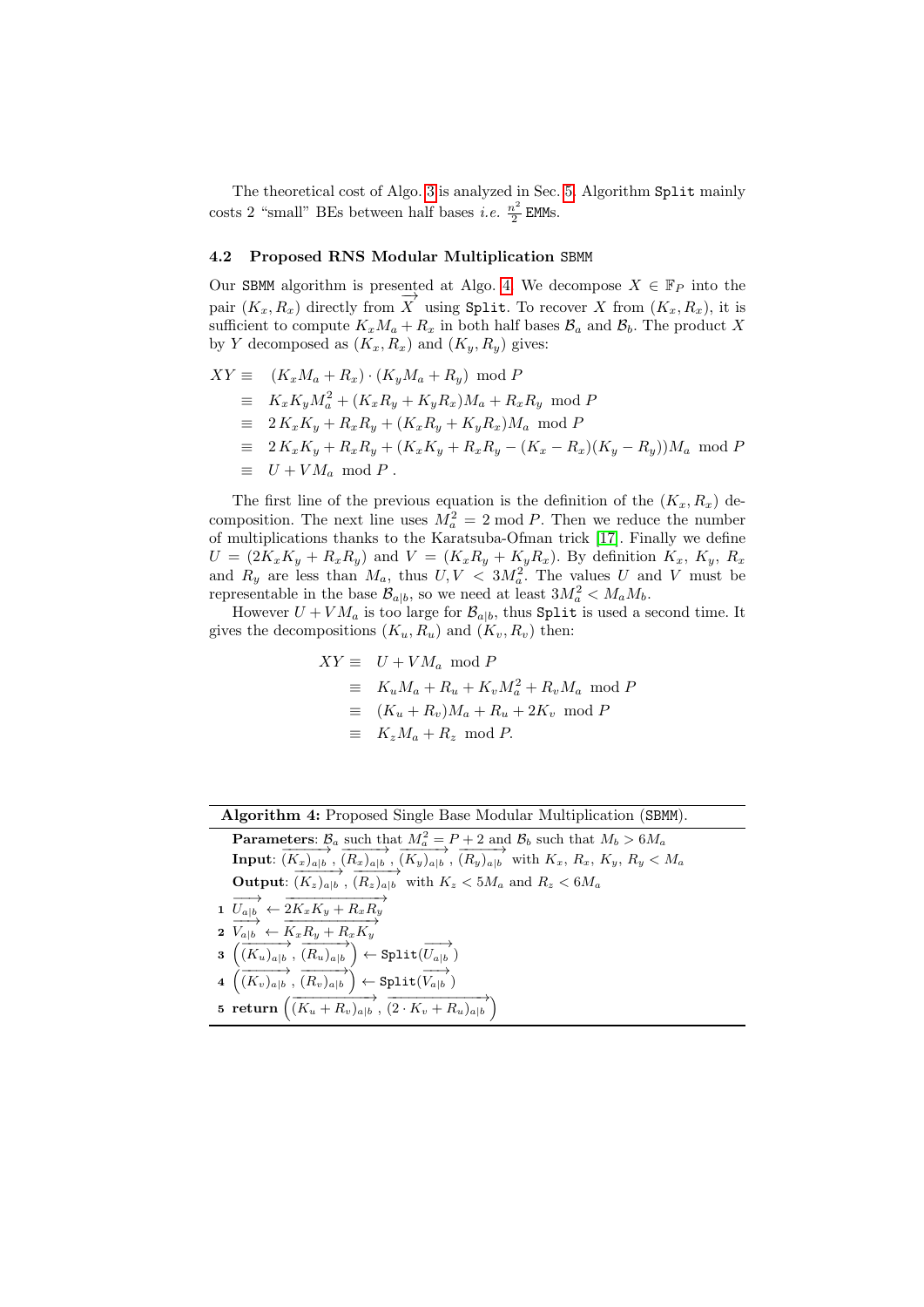The theoretical cost of Algo. [3](#page-5-0) is analyzed in Sec. [5.](#page-9-0) Algorithm Split mainly costs 2 "small" BEs between half bases *i.e.*  $\frac{n^2}{2}$  $\frac{i^2}{2}$  EMMs.

### 4.2 Proposed RNS Modular Multiplication SBMM

Our SBMM algorithm is presented at Algo. [4.](#page-6-0) We decompose  $X \in \mathbb{F}_P$  into the pair  $(K_x, R_x)$  directly from  $\overrightarrow{X}$  using Split. To recover X from  $(K_x, R_x)$ , it is sufficient to compute  $K_xM_a + R_x$  in both half bases  $\mathcal{B}_a$  and  $\mathcal{B}_b$ . The product X by Y decomposed as  $(K_x, R_x)$  and  $(K_y, R_y)$  gives:

$$
XY \equiv (K_x M_a + R_x) \cdot (K_y M_a + R_y) \mod P
$$
  
\n
$$
\equiv K_x K_y M_a^2 + (K_x R_y + K_y R_x) M_a + R_x R_y \mod P
$$
  
\n
$$
\equiv 2 K_x K_y + R_x R_y + (K_x R_y + K_y R_x) M_a \mod P
$$
  
\n
$$
\equiv 2 K_x K_y + R_x R_y + (K_x K_y + R_x R_y - (K_x - R_x) (K_y - R_y)) M_a \mod P
$$
  
\n
$$
\equiv U + VM_a \mod P.
$$

The first line of the previous equation is the definition of the  $(K_x, R_x)$  decomposition. The next line uses  $M_a^2 = 2 \text{ mod } P$ . Then we reduce the number of multiplications thanks to the Karatsuba-Ofman trick [\[17\]](#page-17-15). Finally we define  $U = (2K_xK_y + R_xR_y)$  and  $V = (K_xR_y + K_yR_x)$ . By definition  $K_x$ ,  $K_y$ ,  $R_x$ and  $R_y$  are less than  $M_a$ , thus  $U, V < 3M_a^2$ . The values U and V must be representable in the base  $\mathcal{B}_{a|b}$ , so we need at least  $3M_a^2 < M_a M_b$ .

However  $U + VM_a$  is too large for  $\mathcal{B}_{a|b}$ , thus Split is used a second time. It gives the decompositions  $(K_u, R_u)$  and  $(K_v, R_v)$  then:

$$
XY \equiv U + VM_a \mod P
$$
  
\n
$$
\equiv K_u M_a + R_u + K_v M_a^2 + R_v M_a \mod P
$$
  
\n
$$
\equiv (K_u + R_v)M_a + R_u + 2K_v \mod P
$$
  
\n
$$
\equiv K_z M_a + R_z \mod P.
$$

Algorithm 4: Proposed Single Base Modular Multiplication (SBMM).

**Parameters:**  $B_a$  such that  $M_a^2 = P + 2$  and  $B_b$  such that  $M_b > 6M_a$ **Input**:  $(K_x)_{a|b}$ ,  $(R_x)_{a|b}$ ,  $(K_y)_{a|b}$ ,  $(R_y)_{a|b}$  with  $K_x$ ,  $R_x$ ,  $K_y$ ,  $R_y < M_a$ Output:  $(K_z)_{a|b}$ ,  $(K_z)_{a|b}$  with  $K_z < 5M_a$  and  $R_z < 6M_a$  $\overrightarrow{U_{a|b}} \leftarrow \overrightarrow{2K_xK_y + R_xR_y}$ 

- $\overrightarrow{v_{a|b}} \leftarrow \overrightarrow{K_xR_y + R_xK_y}$
- $\overrightarrow{3}$   $\overrightarrow{(K_u)_{a|b}}, \overrightarrow{(R_u)_{a|b}}$   $\leftarrow$   $\overrightarrow{Split}$  $\overrightarrow{(U_{a|b})}$
- $\overrightarrow{A} \, \overrightarrow{(K_v)_{a|b}}, \overrightarrow{(R_v)_{a|b}} \rangle \leftarrow \texttt{Split}(\overrightarrow{V_{a|b}})$
- <span id="page-6-0"></span> $5$  return  $\left(\overrightarrow{(K_u+R_v)}_{a|b}, \overrightarrow{(2\cdot K_v+R_u)}_{a|b}\right)$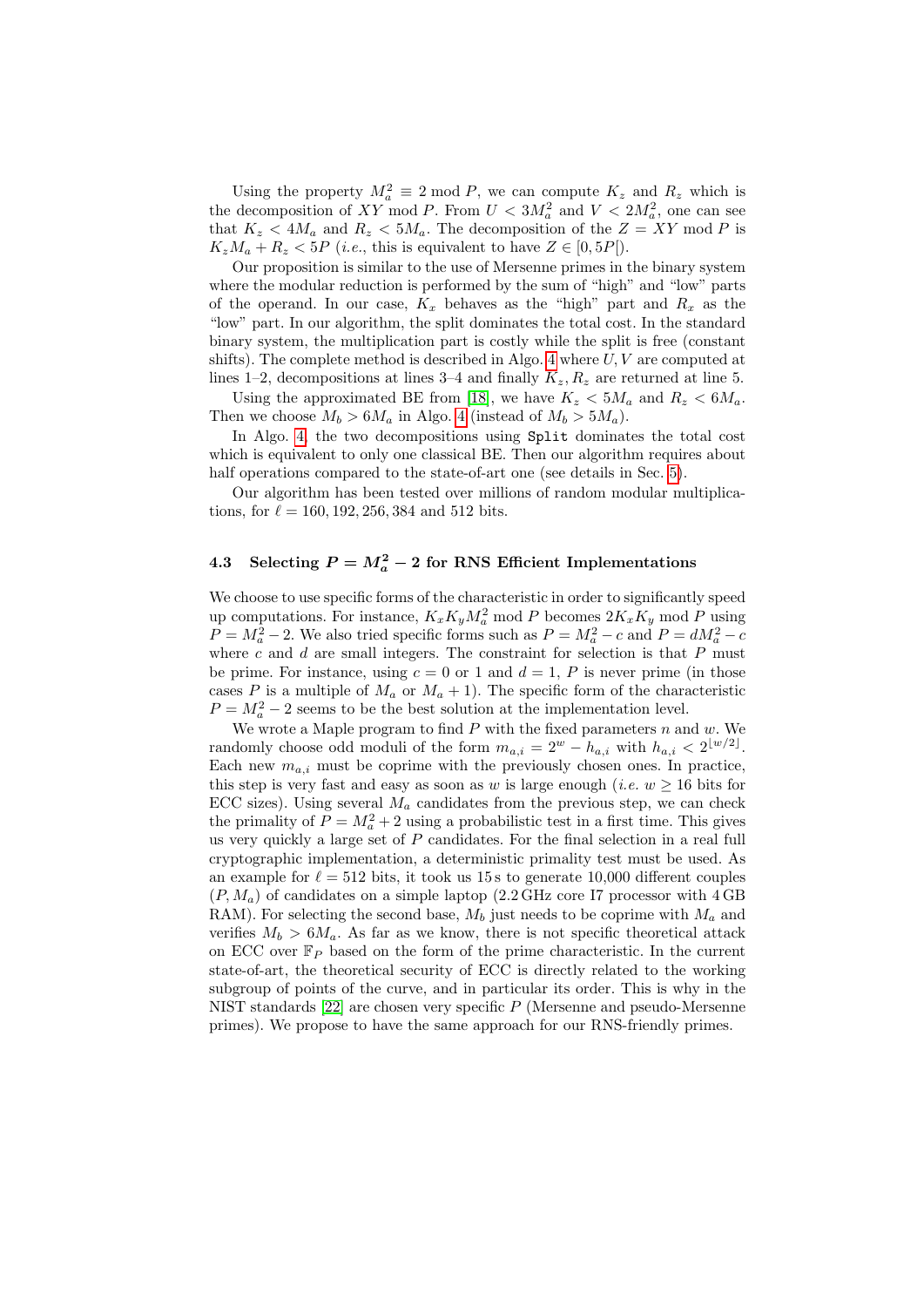Using the property  $M_a^2 \equiv 2 \mod P$ , we can compute  $K_z$  and  $R_z$  which is the decomposition of XY mod P. From  $U < 3M_a^2$  and  $V < 2M_a^2$ , one can see that  $K_z < 4M_a$  and  $R_z < 5M_a$ . The decomposition of the  $Z = XY \mod P$  is  $K_zM_a + R_z < 5P$  (*i.e.*, this is equivalent to have  $Z \in [0, 5P]$ ).

Our proposition is similar to the use of Mersenne primes in the binary system where the modular reduction is performed by the sum of "high" and "low" parts of the operand. In our case,  $K_x$  behaves as the "high" part and  $R_x$  as the "low" part. In our algorithm, the split dominates the total cost. In the standard binary system, the multiplication part is costly while the split is free (constant shifts). The complete method is described in Algo. [4](#page-6-0) where  $U, V$  are computed at lines 1–2, decompositions at lines 3–4 and finally  $K_z, R_z$  are returned at line 5.

Using the approximated BE from [\[18\]](#page-17-6), we have  $K_z < 5M_a$  and  $R_z < 6M_a$ . Then we choose  $M_b > 6M_a$  in Algo. [4](#page-6-0) (instead of  $M_b > 5M_a$ ).

In Algo. [4,](#page-6-0) the two decompositions using Split dominates the total cost which is equivalent to only one classical BE. Then our algorithm requires about half operations compared to the state-of-art one (see details in Sec. [5\)](#page-9-0).

Our algorithm has been tested over millions of random modular multiplications, for  $\ell = 160, 192, 256, 384$  and 512 bits.

# 4.3 Selecting  $P = M_a^2 - 2$  for RNS Efficient Implementations

We choose to use specific forms of the characteristic in order to significantly speed up computations. For instance,  $K_x K_y M_a^2$  mod P becomes  $2K_x K_y$  mod P using  $P = M_a^2 - 2$ . We also tried specific forms such as  $P = M_a^2 - c$  and  $P = dM_a^2 - c$ where  $c$  and  $d$  are small integers. The constraint for selection is that  $P$  must be prime. For instance, using  $c = 0$  or 1 and  $d = 1$ , P is never prime (in those cases P is a multiple of  $M_a$  or  $M_a + 1$ ). The specific form of the characteristic  $P = M_a^2 - 2$  seems to be the best solution at the implementation level.

We wrote a Maple program to find  $P$  with the fixed parameters  $n$  and  $w$ . We randomly choose odd moduli of the form  $m_{a,i} = 2^w - h_{a,i}$  with  $h_{a,i} < 2^{\lfloor w/2 \rfloor}$ . Each new  $m_{a,i}$  must be coprime with the previously chosen ones. In practice, this step is very fast and easy as soon as w is large enough (*i.e.*  $w \ge 16$  bits for ECC sizes). Using several  $M_a$  candidates from the previous step, we can check the primality of  $P = M_a^2 + 2$  using a probabilistic test in a first time. This gives us very quickly a large set of  $P$  candidates. For the final selection in a real full cryptographic implementation, a deterministic primality test must be used. As an example for  $\ell = 512$  bits, it took us 15 s to generate 10,000 different couples  $(P, M_a)$  of candidates on a simple laptop (2.2 GHz core I7 processor with  $4 \text{ GB}$ ) RAM). For selecting the second base,  $M_b$  just needs to be coprime with  $M_a$  and verifies  $M_b > 6M_a$ . As far as we know, there is not specific theoretical attack on ECC over  $\mathbb{F}_P$  based on the form of the prime characteristic. In the current state-of-art, the theoretical security of ECC is directly related to the working subgroup of points of the curve, and in particular its order. This is why in the NIST standards [\[22\]](#page-17-9) are chosen very specific P (Mersenne and pseudo-Mersenne primes). We propose to have the same approach for our RNS-friendly primes.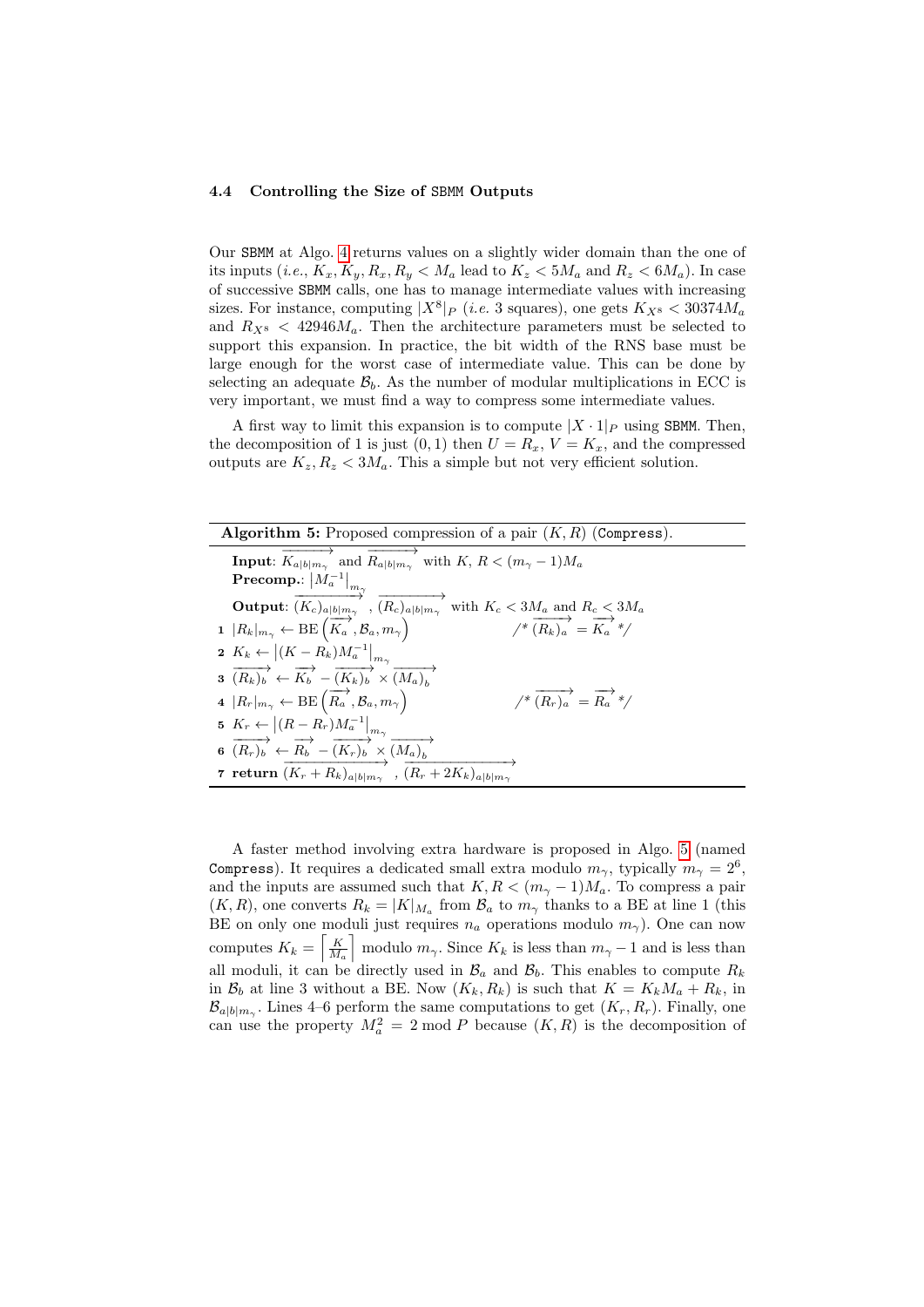#### <span id="page-8-1"></span>4.4 Controlling the Size of SBMM Outputs

Our SBMM at Algo. [4](#page-6-0) returns values on a slightly wider domain than the one of its inputs  $(i.e., K_x, K_y, R_x, R_y < M_a$  lead to  $K_z < 5M_a$  and  $R_z < 6M_a$ ). In case of successive SBMM calls, one has to manage intermediate values with increasing sizes. For instance, computing  $|X^8|_P$  (*i.e.* 3 squares), one gets  $K_{X^8} < 30374M_a$ and  $R_{X^8}$  < 42946 $M_a$ . Then the architecture parameters must be selected to support this expansion. In practice, the bit width of the RNS base must be large enough for the worst case of intermediate value. This can be done by selecting an adequate  $\mathcal{B}_b$ . As the number of modular multiplications in ECC is very important, we must find a way to compress some intermediate values.

A first way to limit this expansion is to compute  $|X \cdot 1|_P$  using SBMM. Then, the decomposition of 1 is just  $(0, 1)$  then  $U = R_x$ ,  $V = K_x$ , and the compressed outputs are  $K_z, R_z < 3M_a$ . This a simple but not very efficient solution.

| <b>Algorithm 5:</b> Proposed compression of a pair $(K, R)$ (Compress).                                                                         |  |  |  |  |  |
|-------------------------------------------------------------------------------------------------------------------------------------------------|--|--|--|--|--|
| <b>Input:</b> $K_{a b m_{\gamma}}$ and $R_{a b m_{\gamma}}$ with $K, R < (m_{\gamma} - 1)M_a$                                                   |  |  |  |  |  |
| Precomp.: $\left M_{a}^{-1}\right _{m_{\widetilde{\mathcal{N}}}}$                                                                               |  |  |  |  |  |
| Output: $(K_c)_{a b m_{\gamma}}$ , $(R_c)_{a b m_{\gamma}}$<br>with $K_c < 3M_a$ and $R_c < 3M_a$                                               |  |  |  |  |  |
| 1 $ R_k _{m_\gamma} \leftarrow \text{BE}(\overrightarrow{K_a}, \mathcal{B}_a, m_\gamma)$<br>$\overrightarrow{(R_k)_a} = \overrightarrow{K_a}^*$ |  |  |  |  |  |
| 2 $K_k \leftarrow  (K - R_k)M_a^{-1} _{m_{\gamma}}$                                                                                             |  |  |  |  |  |
| $\overrightarrow{a(R_k)_b} \leftarrow \overrightarrow{K_b} - \overrightarrow{(K_k)_b} \times \overrightarrow{(M_a)_b}$                          |  |  |  |  |  |
| $\overrightarrow{(R_r)_a} = \overrightarrow{R_a}^*$<br>4 $ R_r _{m_\gamma} \leftarrow \text{BE}(\overrightarrow{R_a}, \mathcal{B}_a, m_\gamma)$ |  |  |  |  |  |
| 5 $K_r \leftarrow  (R - R_r)M_a^{-1} _{m_\gamma}$                                                                                               |  |  |  |  |  |
| 6 $\overrightarrow{(R_r)_b} \leftarrow \overrightarrow{R_b} - \overrightarrow{(K_r)_b} \times \overrightarrow{(M_a)_b}$                         |  |  |  |  |  |
| 7 return $(K_r + R_k)_{a b m_{\gamma}}$ , $(R_r + 2K_k)_{a b m_{\gamma}}$                                                                       |  |  |  |  |  |

<span id="page-8-0"></span>A faster method involving extra hardware is proposed in Algo. [5](#page-8-0) (named Compress). It requires a dedicated small extra modulo  $m_{\gamma}$ , typically  $m_{\gamma} = 2^6$ , and the inputs are assumed such that  $K, R < (m<sub>γ</sub> - 1)M<sub>a</sub>$ . To compress a pair  $(K, R)$ , one converts  $R_k = |K|_{M_a}$  from  $\mathcal{B}_a$  to  $m_\gamma$  thanks to a BE at line 1 (this BE on only one moduli just requires  $n_a$  operations modulo  $m_{\gamma}$ ). One can now computes  $K_k = \left[\frac{K}{M_a}\right]$  modulo  $m_\gamma$ . Since  $K_k$  is less than  $m_\gamma - 1$  and is less than all moduli, it can be directly used in  $\mathcal{B}_a$  and  $\mathcal{B}_b$ . This enables to compute  $R_k$ in  $\mathcal{B}_b$  at line 3 without a BE. Now  $(K_k, R_k)$  is such that  $K = K_k M_a + R_k$ , in  $\mathcal{B}_{a|b|m_{\gamma}}$ . Lines 4–6 perform the same computations to get  $(K_r, R_r)$ . Finally, one can use the property  $M_a^2 = 2 \mod P$  because  $(K, R)$  is the decomposition of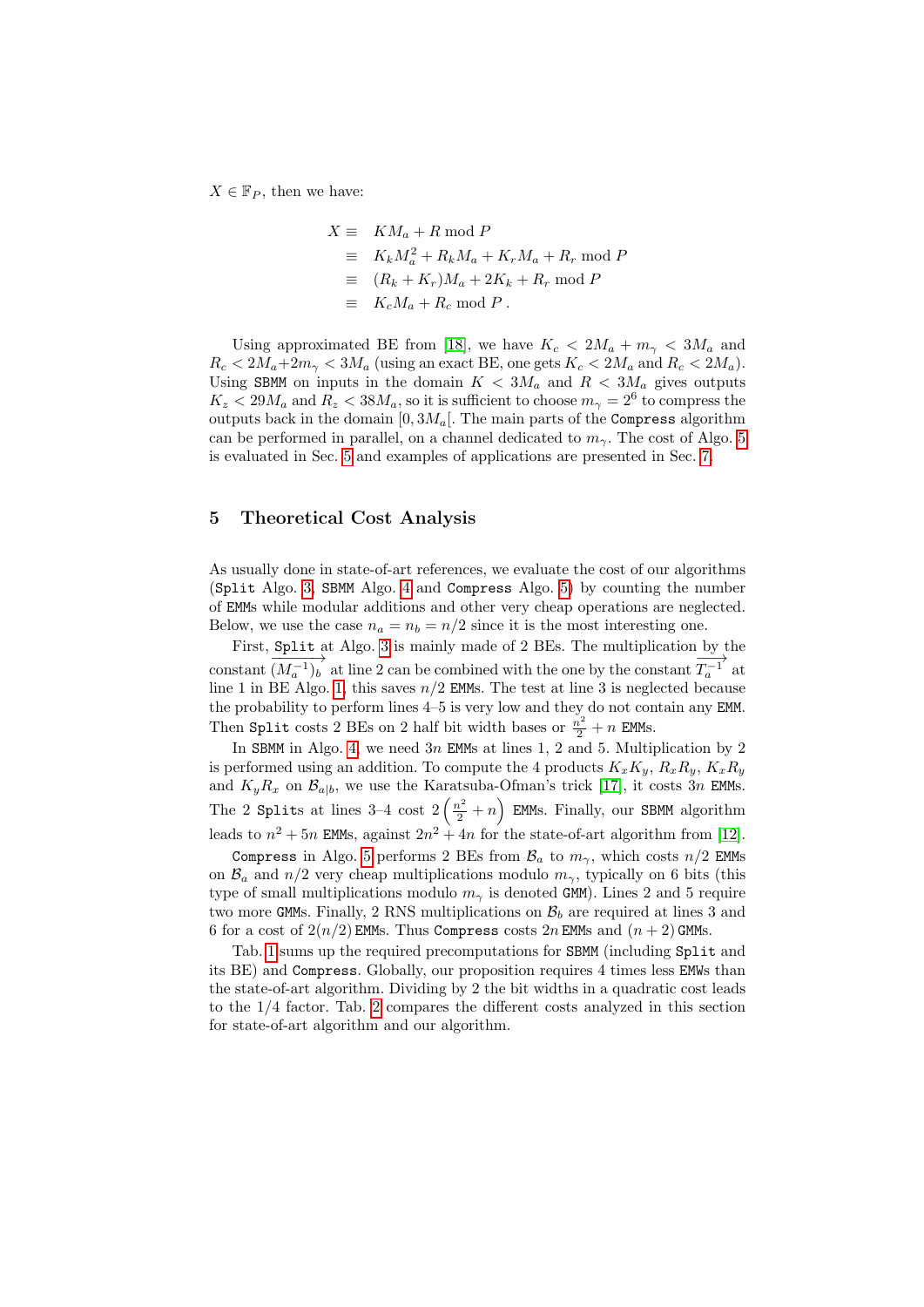$X \in \mathbb{F}_P$ , then we have:

$$
X \equiv KM_a + R \mod P
$$
  
\n
$$
\equiv K_k M_a^2 + R_k M_a + K_r M_a + R_r \mod P
$$
  
\n
$$
\equiv (R_k + K_r)M_a + 2K_k + R_r \mod P
$$
  
\n
$$
\equiv K_c M_a + R_c \mod P.
$$

Using approximated BE from [\[18\]](#page-17-6), we have  $K_c < 2M_a + m_{\gamma} < 3M_a$  and  $R_c < 2M_a+2m_\gamma < 3M_a$  (using an exact BE, one gets  $K_c < 2M_a$  and  $R_c < 2M_a$ ). Using SBMM on inputs in the domain  $K < 3M_a$  and  $R < 3M_a$  gives outputs  $K_z < 29M_a$  and  $R_z < 38M_a$ , so it is sufficient to choose  $m_\gamma = 2^6$  to compress the outputs back in the domain  $[0, 3M_a]$ . The main parts of the Compress algorithm can be performed in parallel, on a channel dedicated to  $m<sub>γ</sub>$ . The cost of Algo. [5](#page-8-0) is evaluated in Sec. [5](#page-9-0) and examples of applications are presented in Sec. [7.](#page-13-0)

# <span id="page-9-0"></span>5 Theoretical Cost Analysis

As usually done in state-of-art references, we evaluate the cost of our algorithms (Split Algo. [3,](#page-5-0) SBMM Algo. [4](#page-6-0) and Compress Algo. [5\)](#page-8-0) by counting the number of EMMs while modular additions and other very cheap operations are neglected. Below, we use the case  $n_a = n_b = n/2$  since it is the most interesting one.

First, Split at Algo. [3](#page-5-0) is mainly made of 2 BEs. The multiplication by the constant  $\frac{L_{\text{P1}}}{(M_a^{-1})_b}$  at line 2 can be combined with the one by the constant  $\rightarrow$  $T_a^{-1'}$  at line 1 in BE Algo. [1,](#page-3-0) this saves  $n/2$  EMMs. The test at line 3 is neglected because the probability to perform lines 4–5 is very low and they do not contain any EMM. Then Split costs 2 BEs on 2 half bit width bases or  $\frac{n^2}{2} + n$  EMMs.

In SBMM in Algo. [4,](#page-6-0) we need  $3n$  EMMs at lines 1, 2 and 5. Multiplication by 2 is performed using an addition. To compute the 4 products  $K_xK_y$ ,  $R_xR_y$ ,  $K_xR_y$ and  $K_y R_x$  on  $\mathcal{B}_{a|b}$ , we use the Karatsuba-Ofman's trick [\[17\]](#page-17-15), it costs 3n EMMs. The 2 Splits at lines 3-4 cost  $2\left(\frac{n^2}{2}+n\right)$  EMMs. Finally, our SBMM algorithm leads to  $n^2 + 5n$  EMMs, against  $2n^2 + 4n$  for the state-of-art algorithm from [\[12\]](#page-16-8).

Compress in Algo. [5](#page-8-0) performs 2 BEs from  $\mathcal{B}_a$  to  $m_\gamma$ , which costs  $n/2$  EMMs on  $\mathcal{B}_a$  and  $n/2$  very cheap multiplications modulo  $m_\gamma$ , typically on 6 bits (this type of small multiplications modulo  $m_{\gamma}$  is denoted GMM). Lines 2 and 5 require two more GMMs. Finally, 2 RNS multiplications on  $B_b$  are required at lines 3 and 6 for a cost of  $2(n/2)$  EMMs. Thus Compress costs  $2n$  EMMs and  $(n + 2)$  GMMs.

Tab. [1](#page-10-1) sums up the required precomputations for SBMM (including Split and its BE) and Compress. Globally, our proposition requires 4 times less EMWs than the state-of-art algorithm. Dividing by 2 the bit widths in a quadratic cost leads to the 1/4 factor. Tab. [2](#page-10-2) compares the different costs analyzed in this section for state-of-art algorithm and our algorithm.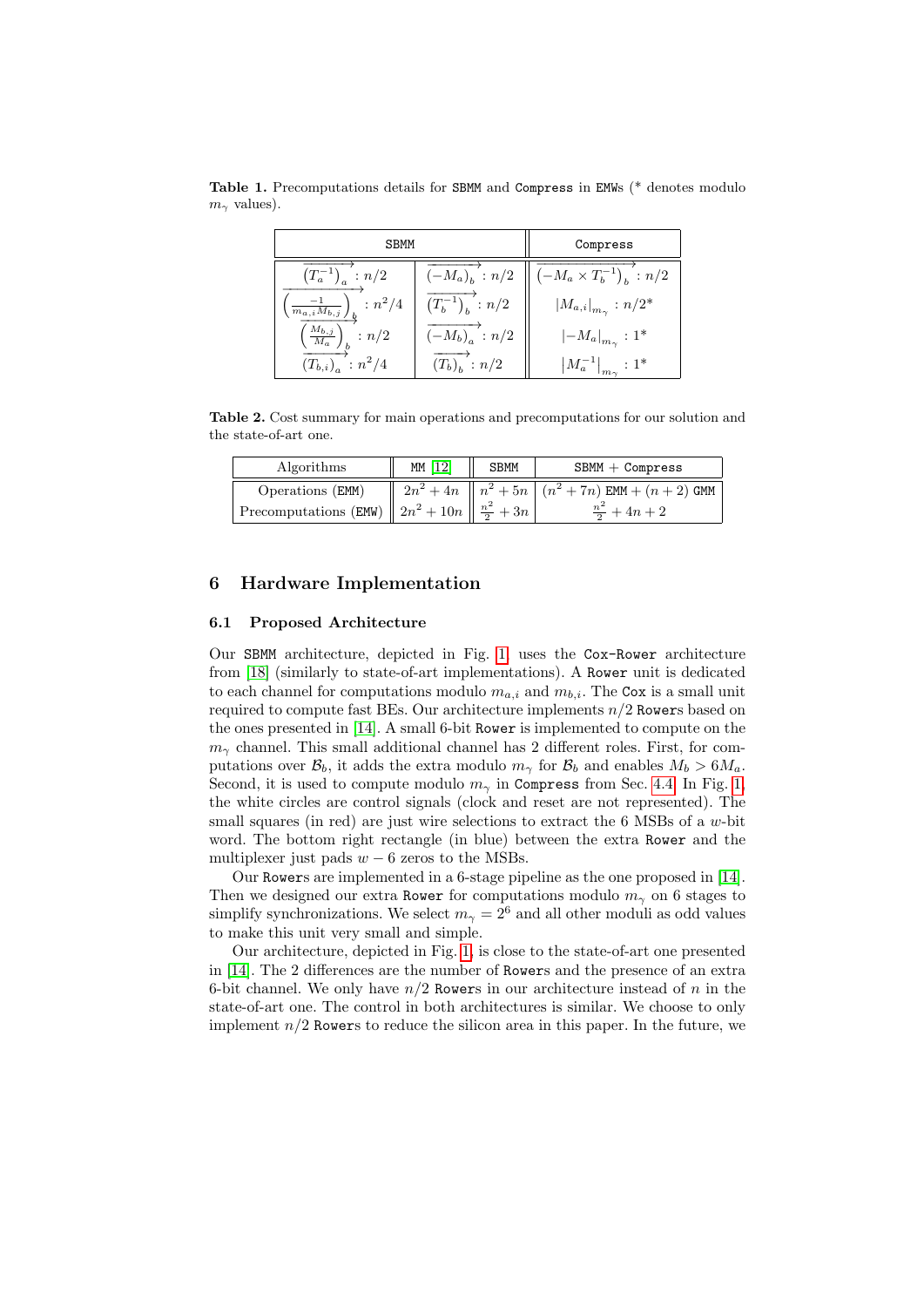<span id="page-10-1"></span>

| <b>SBMM</b>                                             | Compress                          |                                     |
|---------------------------------------------------------|-----------------------------------|-------------------------------------|
| $(T_a^{-1})_a : n/2$                                    | $(-M_a)_b$ : $n/2$                | $\  (-M_a \times T_b^{-1})_b : n/2$ |
| $\left(\frac{-1}{m_{a,i}M_{b,j}}\right)_{b}$ : $n^2/4$  | $\overline{(T_b^{-1})_b}$ : $n/2$ | $ M_{a,i} _{m_{\gamma}} : n/2^*$    |
| $\left(\frac{\overline{M_{b,j}}}{M_a}\right)_b$ : $n/2$ | $\overline{(-M_b)}_a$ : $n/2$     | $ -M_a _{m_{\gamma}} : 1^*$         |
| $(T_{b,i})_a : n^2/4$                                   | $(T_b)_b : n/2$                   | $ M_a^{-1} _{m_\gamma}:1^*$         |

Table 1. Precomputations details for SBMM and Compress in EMWs (\* denotes modulo  $m_\gamma$  values).

<span id="page-10-2"></span>Table 2. Cost summary for main operations and precomputations for our solution and the state-of-art one.

| Algorithms                               | MM [12] | <b>SBMM</b> | $SBMM + Compress$                                                  |
|------------------------------------------|---------|-------------|--------------------------------------------------------------------|
| Operations (EMM)                         |         |             | $2n^2 + 4n \parallel n^2 + 5n \mid (n^2 + 7n)$ EMM + $(n + 2)$ GMM |
| Precomputations (EMW) $\  2n^2 + 10n \ $ |         | $n^2$       | $+4n+2$                                                            |

# <span id="page-10-0"></span>6 Hardware Implementation

### 6.1 Proposed Architecture

Our SBMM architecture, depicted in Fig. [1,](#page-11-0) uses the Cox-Rower architecture from [\[18\]](#page-17-6) (similarly to state-of-art implementations). A Rower unit is dedicated to each channel for computations modulo  $m_{a,i}$  and  $m_{b,i}$ . The Cox is a small unit required to compute fast BEs. Our architecture implements  $n/2$  Rowers based on the ones presented in [\[14\]](#page-16-0). A small 6-bit Rower is implemented to compute on the  $m<sub>γ</sub>$  channel. This small additional channel has 2 different roles. First, for computations over  $\mathcal{B}_b$ , it adds the extra modulo  $m_\gamma$  for  $\mathcal{B}_b$  and enables  $M_b > 6M_a$ . Second, it is used to compute modulo  $m_{\gamma}$  in Compress from Sec. [4.4.](#page-8-1) In Fig. [1,](#page-11-0) the white circles are control signals (clock and reset are not represented). The small squares (in red) are just wire selections to extract the 6 MSBs of a w-bit word. The bottom right rectangle (in blue) between the extra Rower and the multiplexer just pads  $w - 6$  zeros to the MSBs.

Our Rowers are implemented in a 6-stage pipeline as the one proposed in [\[14\]](#page-16-0). Then we designed our extra Rower for computations modulo  $m<sub>\gamma</sub>$  on 6 stages to simplify synchronizations. We select  $m_{\gamma} = 2^6$  and all other moduli as odd values to make this unit very small and simple.

Our architecture, depicted in Fig. [1,](#page-11-0) is close to the state-of-art one presented in [\[14\]](#page-16-0). The 2 differences are the number of Rowers and the presence of an extra 6-bit channel. We only have  $n/2$  Rowers in our architecture instead of n in the state-of-art one. The control in both architectures is similar. We choose to only implement  $n/2$  Rowers to reduce the silicon area in this paper. In the future, we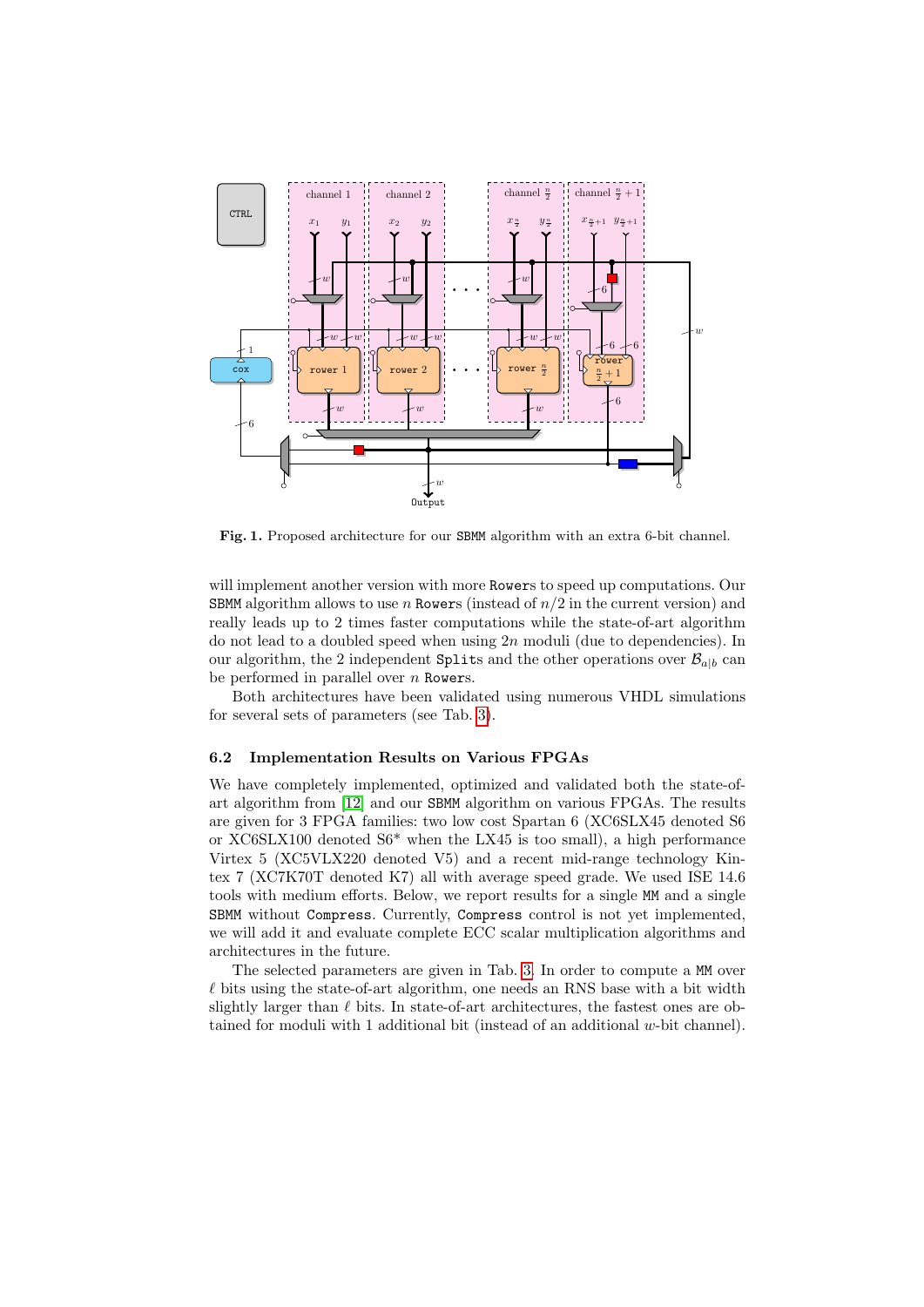

<span id="page-11-0"></span>Fig. 1. Proposed architecture for our SBMM algorithm with an extra 6-bit channel.

will implement another version with more Rowers to speed up computations. Our SBMM algorithm allows to use n Rowers (instead of  $n/2$  in the current version) and really leads up to 2 times faster computations while the state-of-art algorithm do not lead to a doubled speed when using  $2n$  moduli (due to dependencies). In our algorithm, the 2 independent Splits and the other operations over  $\mathcal{B}_{a|b}$  can be performed in parallel over  $n$  Rowers.

Both architectures have been validated using numerous VHDL simulations for several sets of parameters (see Tab. [3\)](#page-12-0).

### 6.2 Implementation Results on Various FPGAs

We have completely implemented, optimized and validated both the state-ofart algorithm from [\[12\]](#page-16-8) and our SBMM algorithm on various FPGAs. The results are given for 3 FPGA families: two low cost Spartan 6 (XC6SLX45 denoted S6 or XC6SLX100 denoted S6\* when the LX45 is too small), a high performance Virtex 5 (XC5VLX220 denoted V5) and a recent mid-range technology Kintex 7 (XC7K70T denoted K7) all with average speed grade. We used ISE 14.6 tools with medium efforts. Below, we report results for a single MM and a single SBMM without Compress. Currently, Compress control is not yet implemented, we will add it and evaluate complete ECC scalar multiplication algorithms and architectures in the future.

The selected parameters are given in Tab. [3.](#page-12-0) In order to compute a MM over  $\ell$  bits using the state-of-art algorithm, one needs an RNS base with a bit width slightly larger than  $\ell$  bits. In state-of-art architectures, the fastest ones are obtained for moduli with 1 additional bit (instead of an additional w-bit channel).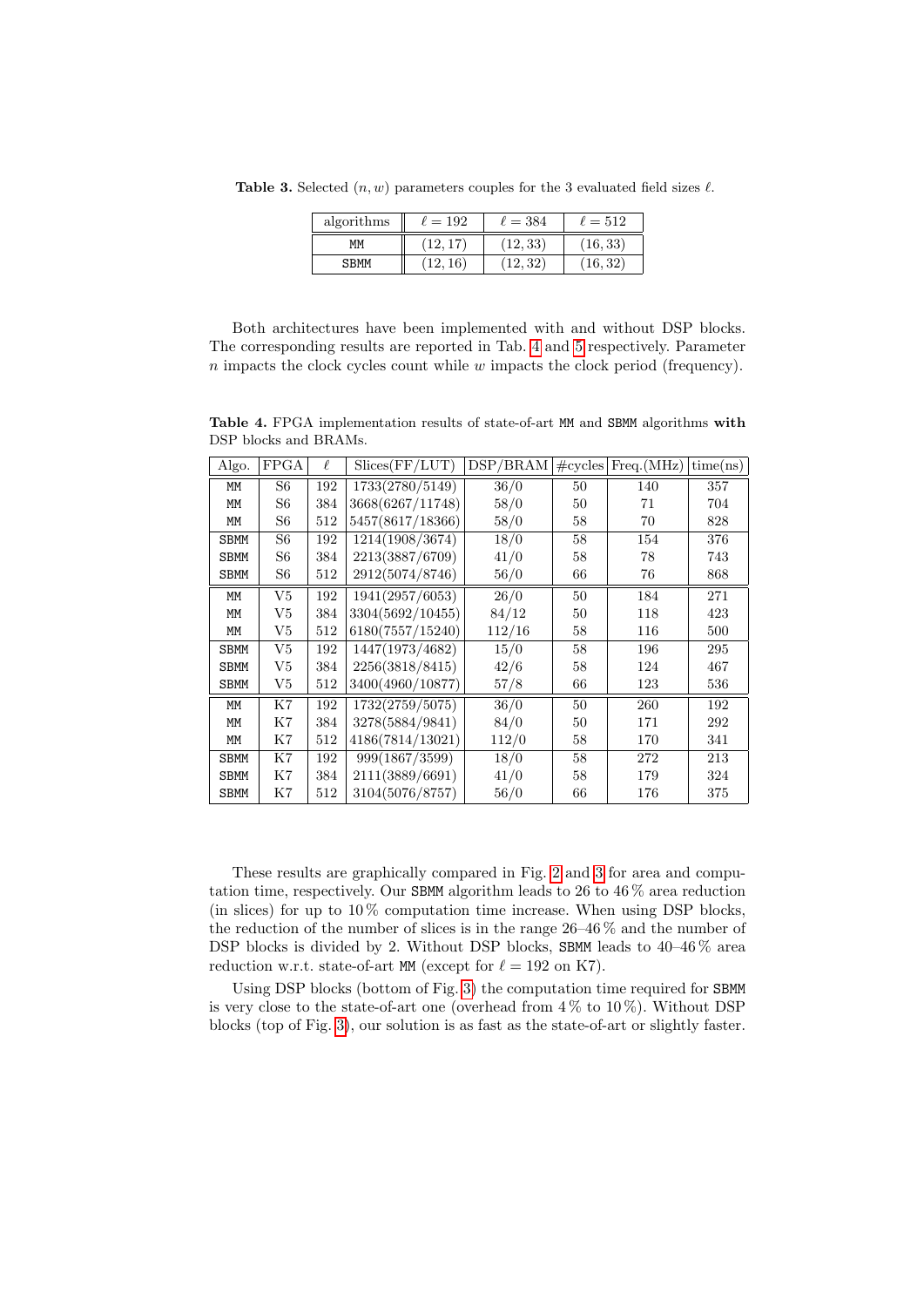Table 3. Selected  $(n, w)$  parameters couples for the 3 evaluated field sizes  $\ell$ .

<span id="page-12-0"></span>

| algorithms  | $\ell=192$ | $\ell=384$ | $\ell = 512$ |
|-------------|------------|------------|--------------|
| ΜМ          |            | (12, 33)   | (16, 33)     |
| <b>SBMM</b> | 16)        | (12.32)    | (16, 32)     |

Both architectures have been implemented with and without DSP blocks. The corresponding results are reported in Tab. [4](#page-12-1) and [5](#page-13-1) respectively. Parameter  $n$  impacts the clock cycles count while  $w$  impacts the clock period (frequency).

<span id="page-12-1"></span>Table 4. FPGA implementation results of state-of-art MM and SBMM algorithms with DSP blocks and BRAMs.

| Algo.       | <b>FPGA</b> | ł.  | Slices(FF/LUT)               | DSP/BRAM | $\#\text{cycles}$ | Freq.(MHz) | time(ns) |
|-------------|-------------|-----|------------------------------|----------|-------------------|------------|----------|
| MM          | S6          | 192 | 1733(2780/5149)              | 36/0     | 50                | 140        | 357      |
| MM          | S6          | 384 | 3668(6267/11748)             | 58/0     | 50                | 71         | 704      |
| MM          | S6          | 512 | 5457(8617/18366)             | 58/0     | 58                | 70         | 828      |
| <b>SBMM</b> | S6          | 192 | 1214(1908/3674)              | 18/0     | 58                | 154        | 376      |
| <b>SBMM</b> | S6          | 384 | 2213(3887/6709)              | 41/0     | 58                | 78         | 743      |
| <b>SBMM</b> | S6          | 512 | 2912(5074/8746)              | 56/0     | 66                | 76         | 868      |
| MM          | V5          | 192 | $\overline{1941}(2957/6053)$ | 26/0     | 50                | 184        | 271      |
| MM          | V5          | 384 | 3304(5692/10455)             | 84/12    | 50                | 118        | 423      |
| MM          | V5          | 512 | 6180(7557/15240)             | 112/16   | 58                | 116        | 500      |
| <b>SBMM</b> | V5          | 192 | 1447(1973/4682)              | 15/0     | 58                | 196        | 295      |
| <b>SBMM</b> | V5          | 384 | 2256(3818/8415)              | 42/6     | 58                | 124        | 467      |
| <b>SBMM</b> | V5          | 512 | 3400(4960/10877)             | 57/8     | 66                | 123        | 536      |
| МM          | K7          | 192 | 1732(2759/5075)              | 36/0     | 50                | 260        | 192      |
| MM          | K7          | 384 | 3278(5884/9841)              | 84/0     | 50                | 171        | 292      |
| MM          | Κ7          | 512 | 4186(7814/13021)             | 112/0    | 58                | 170        | 341      |
| <b>SBMM</b> | Κ7          | 192 | 999(1867/3599)               | 18/0     | 58                | 272        | 213      |
| SBMM        | Κ7          | 384 | 2111(3889/6691)              | 41/0     | 58                | 179        | 324      |
| SBMM        | Κ7          | 512 | 3104(5076/8757)              | 56/0     | 66                | 176        | 375      |

These results are graphically compared in Fig. [2](#page-14-1) and [3](#page-14-2) for area and computation time, respectively. Our SBMM algorithm leads to 26 to 46 % area reduction (in slices) for up to  $10\%$  computation time increase. When using DSP blocks, the reduction of the number of slices is in the range 26–46 % and the number of DSP blocks is divided by 2. Without DSP blocks, SBMM leads to  $40-46\%$  area reduction w.r.t. state-of-art MM (except for  $\ell = 192$  on K7).

Using DSP blocks (bottom of Fig. [3\)](#page-14-2) the computation time required for SBMM is very close to the state-of-art one (overhead from  $4\%$  to  $10\%$ ). Without DSP blocks (top of Fig. [3\)](#page-14-2), our solution is as fast as the state-of-art or slightly faster.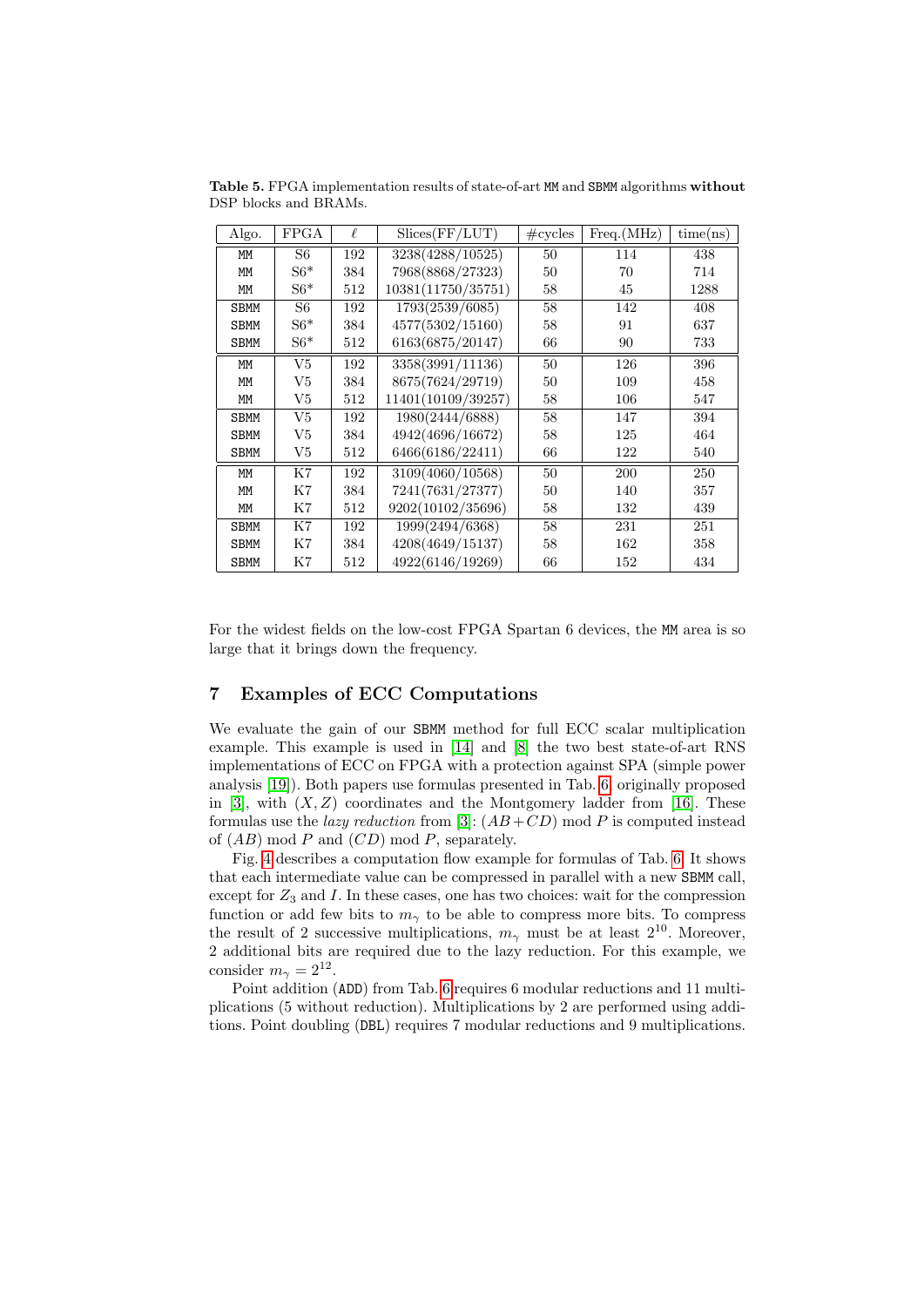| Algo.       | FPGA  | $\ell$ | Slices(FF/LUT)     | $\#\text{cycles}$ | Freq.(MHz) | time(ns) |
|-------------|-------|--------|--------------------|-------------------|------------|----------|
| MM          | S6    | 192    | 3238(4288/10525)   | 50                | 114        | 438      |
| MM          | $S6*$ | 384    | 7968(8868/27323)   | 50                | 70         | 714      |
| MM          | $S6*$ | 512    | 10381(11750/35751) | 58                | 45         | 1288     |
| <b>SBMM</b> | S6    | 192    | 1793(2539/6085)    | 58                | 142        | 408      |
| <b>SBMM</b> | $S6*$ | 384    | 4577(5302/15160)   | 58                | 91         | 637      |
| <b>SBMM</b> | $S6*$ | 512    | 6163(6875/20147)   | 66                | 90         | 733      |
| MM          | V5    | 192    | 3358(3991/11136)   | 50                | 126        | 396      |
| MM          | V5    | 384    | 8675(7624/29719)   | 50                | 109        | 458      |
| MM          | V5    | 512    | 11401(10109/39257) | 58                | 106        | 547      |
| <b>SBMM</b> | V5    | 192    | 1980(2444/6888)    | 58                | 147        | 394      |
| <b>SBMM</b> | V5    | 384    | 4942(4696/16672)   | 58                | 125        | 464      |
| <b>SBMM</b> | V5    | 512    | 6466(6186/22411)   | 66                | 122        | 540      |
| MM          | K7    | 192    | 3109(4060/10568)   | 50                | 200        | 250      |
| MM          | K7    | 384    | 7241(7631/27377)   | 50                | 140        | 357      |
| MM          | K7    | 512    | 9202(10102/35696)  | 58                | 132        | 439      |
| <b>SBMM</b> | K7    | 192    | 1999(2494/6368)    | 58                | 231        | 251      |
| <b>SBMM</b> | K7    | 384    | 4208(4649/15137)   | 58                | 162        | 358      |
| <b>SBMM</b> | K7    | 512    | 4922(6146/19269)   | 66                | 152        | 434      |

<span id="page-13-1"></span>Table 5. FPGA implementation results of state-of-art MM and SBMM algorithms without DSP blocks and BRAMs.

For the widest fields on the low-cost FPGA Spartan 6 devices, the MM area is so large that it brings down the frequency.

# <span id="page-13-0"></span>7 Examples of ECC Computations

We evaluate the gain of our SBMM method for full ECC scalar multiplication example. This example is used in [\[14\]](#page-16-0) and [\[8\]](#page-16-2) the two best state-of-art RNS implementations of ECC on FPGA with a protection against SPA (simple power analysis [\[19\]](#page-17-16)). Both papers use formulas presented in Tab. [6,](#page-15-0) originally proposed in  $[3]$ , with  $(X, Z)$  coordinates and the Montgomery ladder from  $[16]$ . These formulas use the *lazy reduction* from [\[3\]](#page-16-13):  $(AB+CD)$  mod P is computed instead of  $(AB) \mod P$  and  $(CD) \mod P$ , separately.

Fig. [4](#page-15-1) describes a computation flow example for formulas of Tab. [6.](#page-15-0) It shows that each intermediate value can be compressed in parallel with a new SBMM call, except for  $Z_3$  and  $I$ . In these cases, one has two choices: wait for the compression function or add few bits to  $m_{\gamma}$  to be able to compress more bits. To compress the result of 2 successive multiplications,  $m_{\gamma}$  must be at least  $2^{10}$ . Moreover, 2 additional bits are required due to the lazy reduction. For this example, we consider  $m_{\gamma} = 2^{12}$ .

Point addition (ADD) from Tab. [6](#page-15-0) requires 6 modular reductions and 11 multiplications (5 without reduction). Multiplications by 2 are performed using additions. Point doubling (DBL) requires 7 modular reductions and 9 multiplications.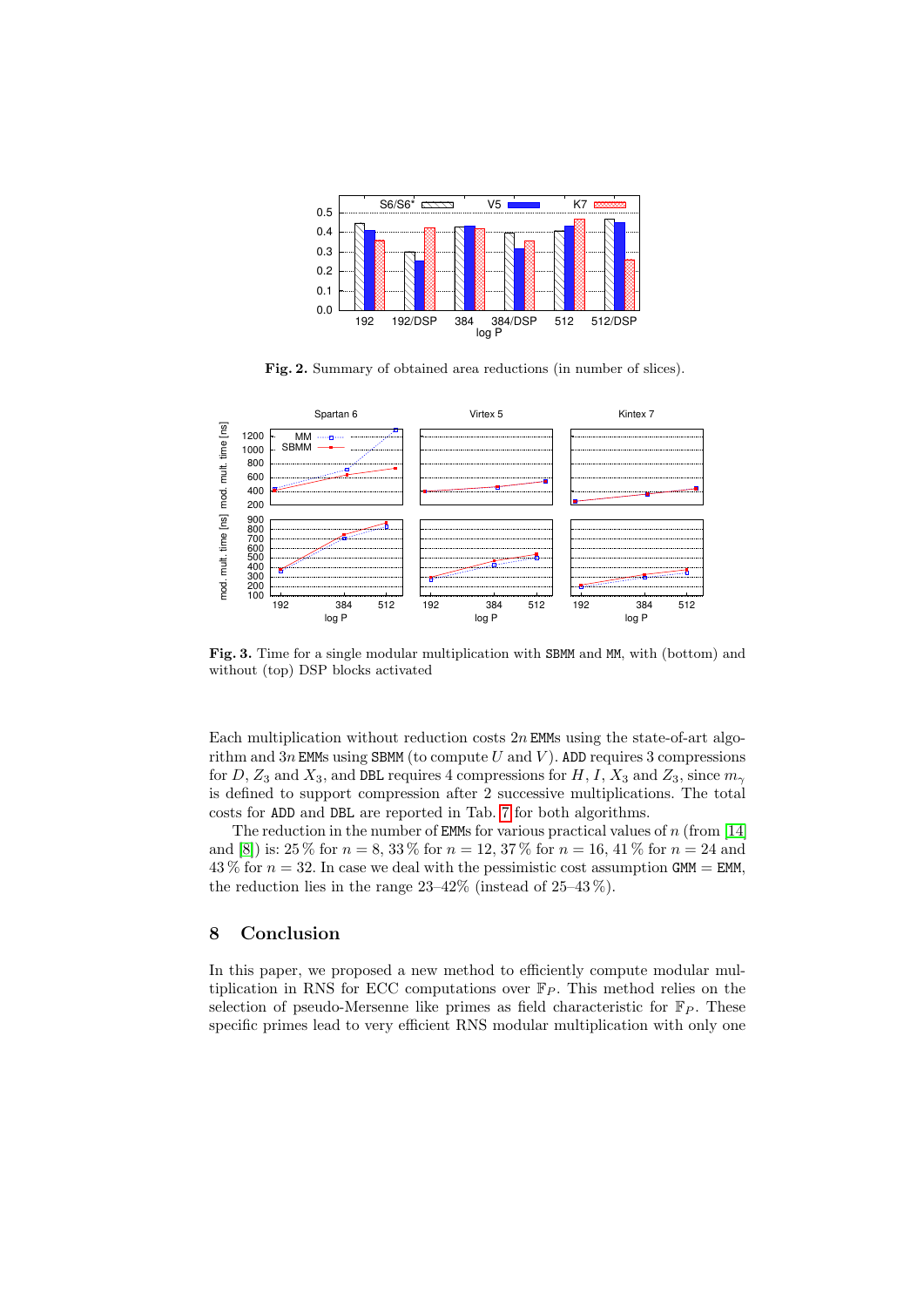

<span id="page-14-1"></span>Fig. 2. Summary of obtained area reductions (in number of slices).



<span id="page-14-2"></span>Fig. 3. Time for a single modular multiplication with SBMM and MM, with (bottom) and without (top) DSP blocks activated

Each multiplication without reduction costs  $2n$  EMMs using the state-of-art algorithm and  $3n$  EMMs using SBMM (to compute U and V). ADD requires 3 compressions for D,  $Z_3$  and  $X_3$ , and DBL requires 4 compressions for H, I,  $X_3$  and  $Z_3$ , since  $m_{\gamma}$ is defined to support compression after 2 successive multiplications. The total costs for ADD and DBL are reported in Tab. [7](#page-15-2) for both algorithms.

The reduction in the number of **EMMs** for various practical values of  $n$  (from [\[14\]](#page-16-0) and [\[8\]](#page-16-2)) is:  $25\%$  for  $n = 8, 33\%$  for  $n = 12, 37\%$  for  $n = 16, 41\%$  for  $n = 24$  and  $43\%$  for  $n = 32$ . In case we deal with the pessimistic cost assumption GMM = EMM, the reduction lies in the range  $23-42\%$  (instead of  $25-43\%$ ).

# <span id="page-14-0"></span>8 Conclusion

In this paper, we proposed a new method to efficiently compute modular multiplication in RNS for ECC computations over  $\mathbb{F}_P$ . This method relies on the selection of pseudo-Mersenne like primes as field characteristic for  $\mathbb{F}_P$ . These specific primes lead to very efficient RNS modular multiplication with only one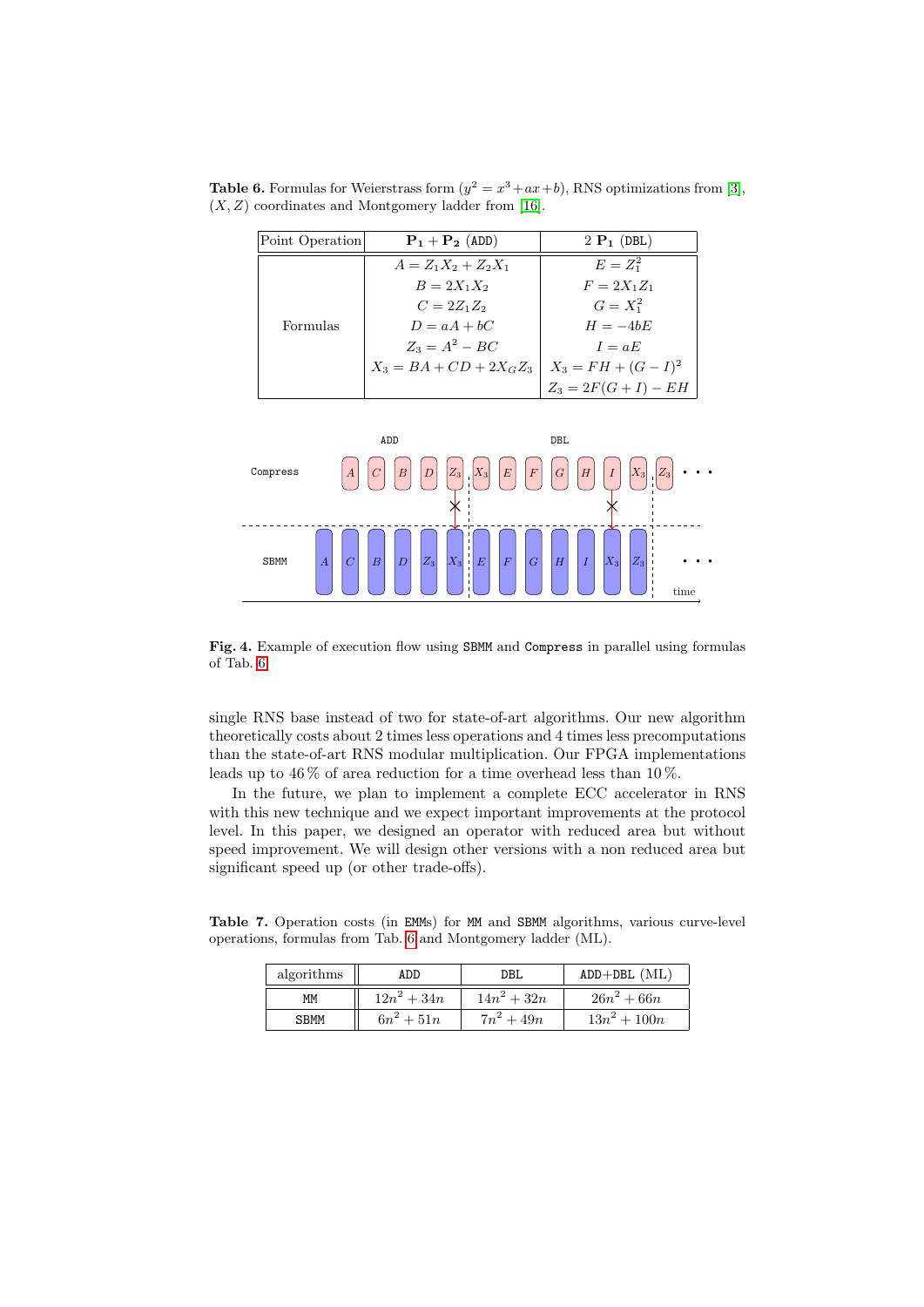**Table 6.** Formulas for Weierstrass form  $(y^2 = x^3 + ax + b)$ , RNS optimizations from [\[3\]](#page-16-13),  $(X, Z)$  coordinates and Montgomery ladder from [\[16\]](#page-17-17).

<span id="page-15-0"></span>

| Point Operation | $P_1 + P_2$ (ADD)         | $2 P_1 (DBL)$          |
|-----------------|---------------------------|------------------------|
|                 | $A = Z_1 X_2 + Z_2 X_1$   | $E=Z_1^2$              |
|                 | $B = 2X_1X_2$             | $F = 2X_1Z_1$          |
|                 | $C = 2Z_1Z_2$             | $G=X_1^2$              |
| Formulas        | $D = aA + bC$             | $H = -4bE$             |
|                 | $Z_3 = A^2 - BC$          | $I = aE$               |
|                 | $X_3 = BA + CD + 2X_GZ_3$ | $X_3 = FH + (G - I)^2$ |
|                 |                           | $Z_3 = 2F(G + I) - EH$ |



<span id="page-15-1"></span>Fig. 4. Example of execution flow using SBMM and Compress in parallel using formulas of Tab. [6.](#page-15-0)

single RNS base instead of two for state-of-art algorithms. Our new algorithm theoretically costs about 2 times less operations and 4 times less precomputations than the state-of-art RNS modular multiplication. Our FPGA implementations leads up to  $46\,\%$  of area reduction for a time overhead less than  $10\,\%.$ 

In the future, we plan to implement a complete ECC accelerator in RNS with this new technique and we expect important improvements at the protocol level. In this paper, we designed an operator with reduced area but without speed improvement. We will design other versions with a non reduced area but significant speed up (or other trade-offs).

Table 7. Operation costs (in EMMs) for MM and SBMM algorithms, various curve-level operations, formulas from Tab. [6](#page-15-0) and Montgomery ladder (ML).

<span id="page-15-2"></span>

| algorithms  | ADD           | DBL           | $ADD+DBL$ (ML) |
|-------------|---------------|---------------|----------------|
| МM          | $12n^2 + 34n$ | $14n^2 + 32n$ | $26n^2 + 66n$  |
| <b>SBMM</b> | $6n^2 + 51n$  | $7n^2 + 49n$  | $13n^2 + 100n$ |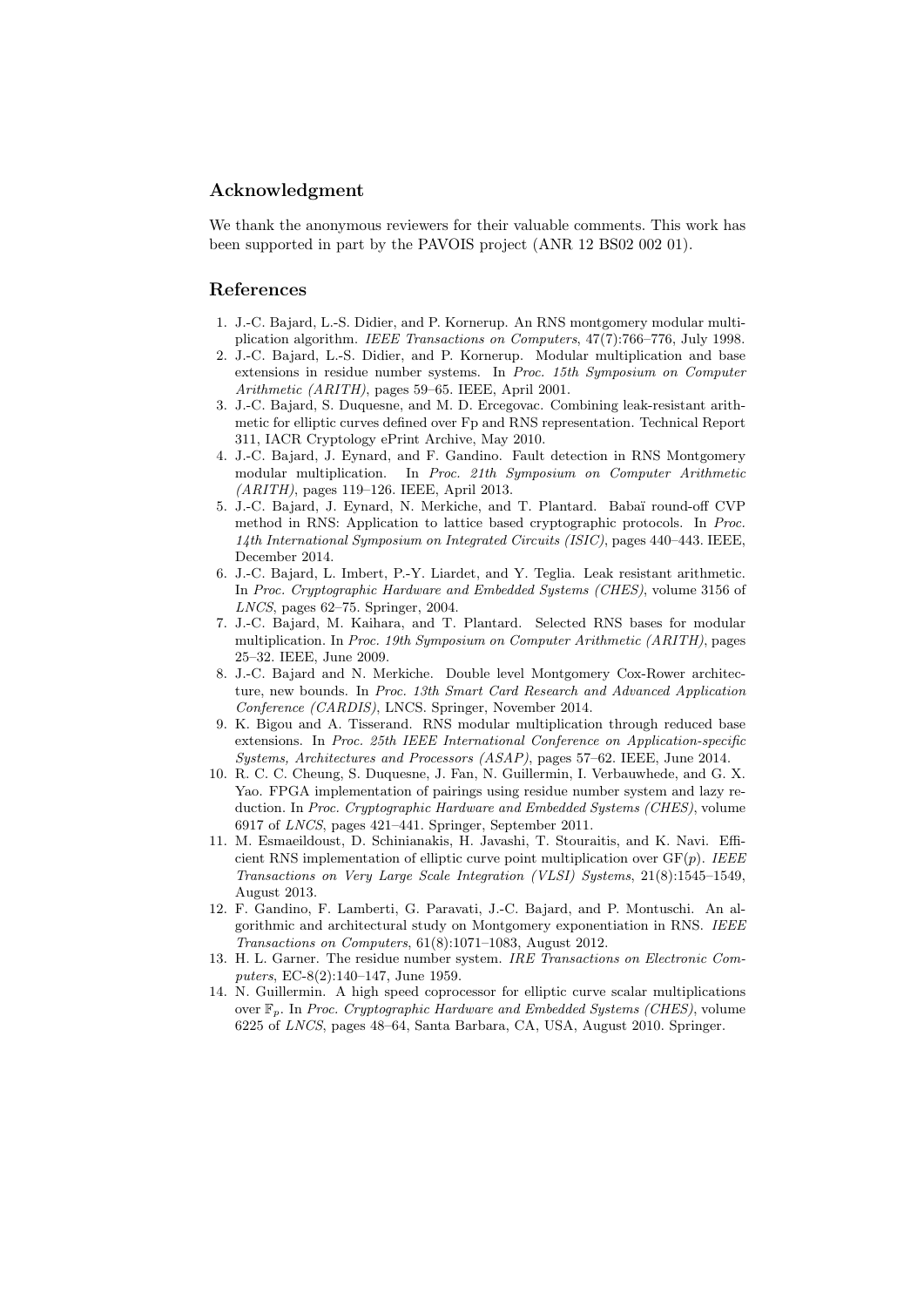### Acknowledgment

We thank the anonymous reviewers for their valuable comments. This work has been supported in part by the PAVOIS project (ANR 12 BS02 002 01).

## References

- <span id="page-16-6"></span>1. J.-C. Bajard, L.-S. Didier, and P. Kornerup. An RNS montgomery modular multiplication algorithm. IEEE Transactions on Computers, 47(7):766–776, July 1998.
- <span id="page-16-7"></span>2. J.-C. Bajard, L.-S. Didier, and P. Kornerup. Modular multiplication and base extensions in residue number systems. In Proc. 15th Symposium on Computer Arithmetic (ARITH), pages 59–65. IEEE, April 2001.
- <span id="page-16-13"></span>3. J.-C. Bajard, S. Duquesne, and M. D. Ercegovac. Combining leak-resistant arithmetic for elliptic curves defined over Fp and RNS representation. Technical Report 311, IACR Cryptology ePrint Archive, May 2010.
- <span id="page-16-3"></span>4. J.-C. Bajard, J. Eynard, and F. Gandino. Fault detection in RNS Montgomery modular multiplication. In Proc. 21th Symposium on Computer Arithmetic (ARITH), pages 119–126. IEEE, April 2013.
- <span id="page-16-5"></span>5. J.-C. Bajard, J. Eynard, N. Merkiche, and T. Plantard. Baba¨ı round-off CVP method in RNS: Application to lattice based cryptographic protocols. In Proc. 14th International Symposium on Integrated Circuits (ISIC), pages 440–443. IEEE, December 2014.
- <span id="page-16-11"></span>6. J.-C. Bajard, L. Imbert, P.-Y. Liardet, and Y. Teglia. Leak resistant arithmetic. In Proc. Cryptographic Hardware and Embedded Systems (CHES), volume 3156 of LNCS, pages 62–75. Springer, 2004.
- <span id="page-16-12"></span>7. J.-C. Bajard, M. Kaihara, and T. Plantard. Selected RNS bases for modular multiplication. In Proc. 19th Symposium on Computer Arithmetic (ARITH), pages 25–32. IEEE, June 2009.
- <span id="page-16-2"></span>8. J.-C. Bajard and N. Merkiche. Double level Montgomery Cox-Rower architecture, new bounds. In Proc. 13th Smart Card Research and Advanced Application Conference (CARDIS), LNCS. Springer, November 2014.
- <span id="page-16-9"></span>9. K. Bigou and A. Tisserand. RNS modular multiplication through reduced base extensions. In Proc. 25th IEEE International Conference on Application-specific Systems, Architectures and Processors (ASAP), pages 57–62. IEEE, June 2014.
- <span id="page-16-4"></span>10. R. C. C. Cheung, S. Duquesne, J. Fan, N. Guillermin, I. Verbauwhede, and G. X. Yao. FPGA implementation of pairings using residue number system and lazy reduction. In Proc. Cryptographic Hardware and Embedded Systems (CHES), volume 6917 of LNCS, pages 421–441. Springer, September 2011.
- <span id="page-16-1"></span>11. M. Esmaeildoust, D. Schinianakis, H. Javashi, T. Stouraitis, and K. Navi. Efficient RNS implementation of elliptic curve point multiplication over  $GF(p)$ . IEEE Transactions on Very Large Scale Integration (VLSI) Systems, 21(8):1545–1549, August 2013.
- <span id="page-16-8"></span>12. F. Gandino, F. Lamberti, G. Paravati, J.-C. Bajard, and P. Montuschi. An algorithmic and architectural study on Montgomery exponentiation in RNS. IEEE Transactions on Computers, 61(8):1071–1083, August 2012.
- <span id="page-16-10"></span>13. H. L. Garner. The residue number system. IRE Transactions on Electronic Computers, EC-8(2):140–147, June 1959.
- <span id="page-16-0"></span>14. N. Guillermin. A high speed coprocessor for elliptic curve scalar multiplications over  $\mathbb{F}_p$ . In Proc. Cryptographic Hardware and Embedded Systems (CHES), volume 6225 of LNCS, pages 48–64, Santa Barbara, CA, USA, August 2010. Springer.